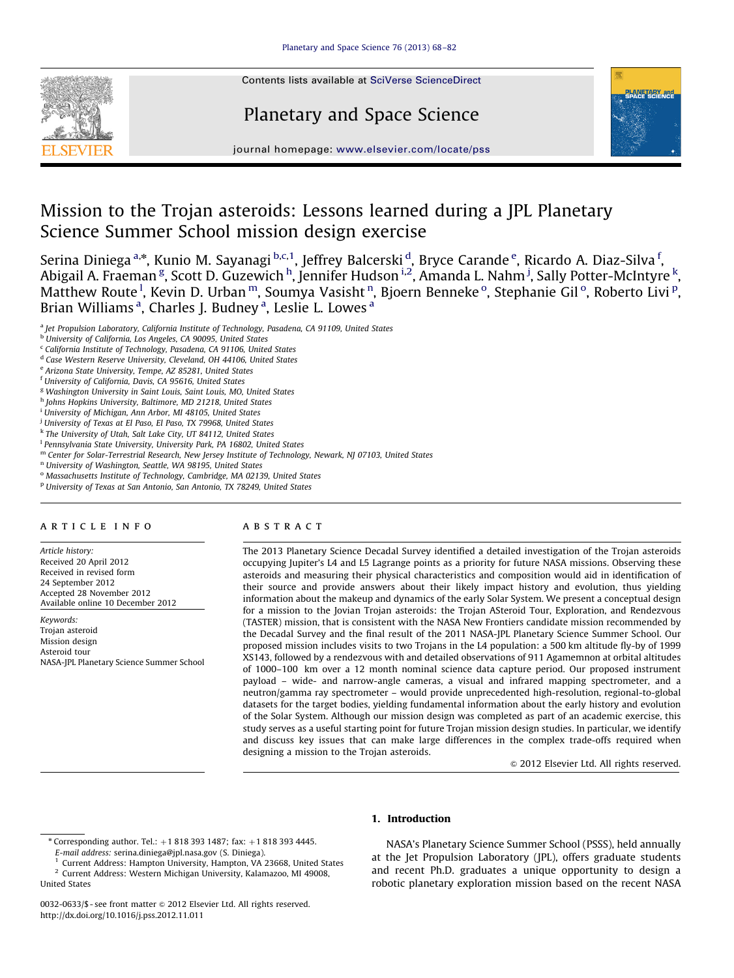

# Planetary and Space Science



journal homepage: <www.elsevier.com/locate/pss>

# Mission to the Trojan asteroids: Lessons learned during a JPL Planetary Science Summer School mission design exercise

Serina Diniega <sup>a,</sup>\*, Kunio M. Sayanagi <sup>b,c,1</sup>, Jeffrey Balcerski <sup>d</sup>, Bryce Carande <sup>e</sup>, Ricardo A. Diaz-Silva <sup>f</sup>, Abigail A. Fraeman <sup>g</sup>, Scott D. Guzewich <sup>h</sup>, Jennifer Hudson <sup>i,2</sup>, Amanda L. Nahm <sup>j</sup>, Sally Potter-McIntyre <sup>k</sup>, Matthew Route <sup>I</sup>, Kevin D. Urban <sup>m</sup>, Soumya Vasisht <sup>n</sup>, Bjoern Benneke °, Stephanie Gil °, Roberto Livi <sup>p</sup>, Brian Williams <sup>a</sup>, Charles J. Budney <sup>a</sup>, Leslie L. Lowes <sup>a</sup>

<sup>a</sup> Jet Propulsion Laboratory, California Institute of Technology, Pasadena, CA 91109, United States

- <sup>b</sup> University of California, Los Angeles, CA 90095, United States
- <sup>c</sup> California Institute of Technology, Pasadena, CA 91106, United States
- <sup>d</sup> Case Western Reserve University, Cleveland, OH 44106, United States
- <sup>e</sup> Arizona State University, Tempe, AZ 85281, United States
- <sup>f</sup> University of California, Davis, CA 95616, United States
- <sup>g</sup> Washington University in Saint Louis, Saint Louis, MO, United States
- h Johns Hopkins University, Baltimore, MD 21218, United States
- <sup>i</sup> University of Michigan, Ann Arbor, MI 48105, United States
- 
- <sup>i</sup> University of Texas at El Paso, El Paso, TX 79968, United States <sup>k</sup> The University of Utah, Salt Lake City, UT 84112, United States
- 
- <sup>l</sup> Pennsylvania State University, University Park, PA 16802, United States <sup>m</sup> Center for Solar-Terrestrial Research, New Jersey Institute of Technology, Newark, NJ 07103, United States
- 
- <sup>n</sup> University of Washington, Seattle, WA 98195, United States
- <sup>o</sup> Massachusetts Institute of Technology, Cambridge, MA 02139, United States
- <sup>p</sup> University of Texas at San Antonio, San Antonio, TX 78249, United States

#### article info

Article history: Received 20 April 2012 Received in revised form 24 September 2012 Accepted 28 November 2012 Available online 10 December 2012

Keywords: Trojan asteroid Mission design Asteroid tour NASA-JPL Planetary Science Summer School

#### abstract

The 2013 Planetary Science Decadal Survey identified a detailed investigation of the Trojan asteroids occupying Jupiter's L4 and L5 Lagrange points as a priority for future NASA missions. Observing these asteroids and measuring their physical characteristics and composition would aid in identification of their source and provide answers about their likely impact history and evolution, thus yielding information about the makeup and dynamics of the early Solar System. We present a conceptual design for a mission to the Jovian Trojan asteroids: the Trojan ASteroid Tour, Exploration, and Rendezvous (TASTER) mission, that is consistent with the NASA New Frontiers candidate mission recommended by the Decadal Survey and the final result of the 2011 NASA-JPL Planetary Science Summer School. Our proposed mission includes visits to two Trojans in the L4 population: a 500 km altitude fly-by of 1999 XS143, followed by a rendezvous with and detailed observations of 911 Agamemnon at orbital altitudes of 1000–100 km over a 12 month nominal science data capture period. Our proposed instrument payload – wide- and narrow-angle cameras, a visual and infrared mapping spectrometer, and a neutron/gamma ray spectrometer – would provide unprecedented high-resolution, regional-to-global datasets for the target bodies, yielding fundamental information about the early history and evolution of the Solar System. Although our mission design was completed as part of an academic exercise, this study serves as a useful starting point for future Trojan mission design studies. In particular, we identify and discuss key issues that can make large differences in the complex trade-offs required when designing a mission to the Trojan asteroids.

 $\odot$  2012 Elsevier Ltd. All rights reserved.

## 1. Introduction

United States

NASA's Planetary Science Summer School (PSSS), held annually at the Jet Propulsion Laboratory (JPL), offers graduate students and recent Ph.D. graduates a unique opportunity to design a robotic planetary exploration mission based on the recent NASA

 $*$  Corresponding author. Tel.:  $+18183931487$ ; fax:  $+18183934445$ . E-mail address: [serina.diniega@jpl.nasa.gov \(S. Diniega\).](mailto:serina.diniega@jpl.nasa.gov)

<sup>1</sup> Current Address: Hampton University, Hampton, VA 23668, United States

<sup>2</sup> Current Address: Western Michigan University, Kalamazoo, MI 49008,

<sup>0032-0633/\$ -</sup> see front matter @ 2012 Elsevier Ltd. All rights reserved. <http://dx.doi.org/10.1016/j.pss.2012.11.011>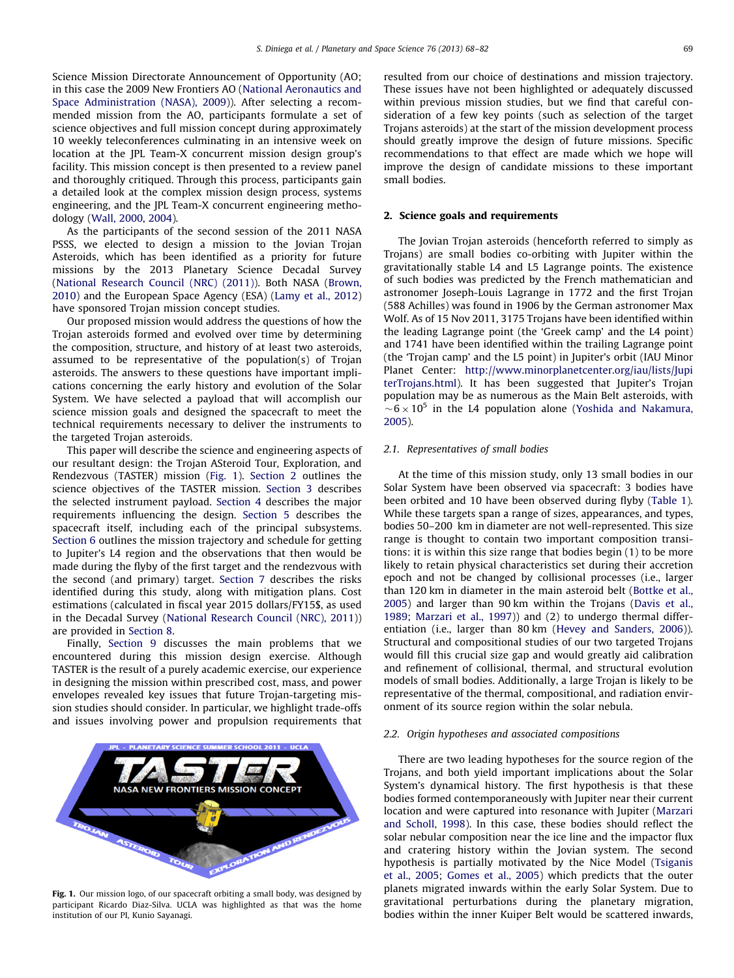Science Mission Directorate Announcement of Opportunity (AO; in this case the 2009 New Frontiers AO ([National Aeronautics and](#page-13-0) [Space Administration \(NASA\), 2009\)](#page-13-0)). After selecting a recommended mission from the AO, participants formulate a set of science objectives and full mission concept during approximately 10 weekly teleconferences culminating in an intensive week on location at the JPL Team-X concurrent mission design group's facility. This mission concept is then presented to a review panel and thoroughly critiqued. Through this process, participants gain a detailed look at the complex mission design process, systems engineering, and the JPL Team-X concurrent engineering methodology [\(Wall, 2000,](#page-14-0) [2004\)](#page-14-0).

As the participants of the second session of the 2011 NASA PSSS, we elected to design a mission to the Jovian Trojan Asteroids, which has been identified as a priority for future missions by the 2013 Planetary Science Decadal Survey ([National Research Council \(NRC\) \(2011\)](#page-13-0)). Both NASA ([Brown,](#page-13-0) [2010\)](#page-13-0) and the European Space Agency (ESA) [\(Lamy et al., 2012\)](#page-13-0) have sponsored Trojan mission concept studies.

Our proposed mission would address the questions of how the Trojan asteroids formed and evolved over time by determining the composition, structure, and history of at least two asteroids, assumed to be representative of the population(s) of Trojan asteroids. The answers to these questions have important implications concerning the early history and evolution of the Solar System. We have selected a payload that will accomplish our science mission goals and designed the spacecraft to meet the technical requirements necessary to deliver the instruments to the targeted Trojan asteroids.

This paper will describe the science and engineering aspects of our resultant design: the Trojan ASteroid Tour, Exploration, and Rendezvous (TASTER) mission (Fig. 1). Section 2 outlines the science objectives of the TASTER mission. [Section 3](#page-3-0) describes the selected instrument payload. [Section 4](#page-5-0) describes the major requirements influencing the design. [Section 5](#page-6-0) describes the spacecraft itself, including each of the principal subsystems. [Section 6](#page-8-0) outlines the mission trajectory and schedule for getting to Jupiter's L4 region and the observations that then would be made during the flyby of the first target and the rendezvous with the second (and primary) target. [Section 7](#page-10-0) describes the risks identified during this study, along with mitigation plans. Cost estimations (calculated in fiscal year 2015 dollars/FY15\$, as used in the Decadal Survey [\(National Research Council \(NRC\), 2011\)](#page-13-0)) are provided in [Section 8.](#page-10-0)

Finally, [Section 9](#page-11-0) discusses the main problems that we encountered during this mission design exercise. Although TASTER is the result of a purely academic exercise, our experience in designing the mission within prescribed cost, mass, and power envelopes revealed key issues that future Trojan-targeting mission studies should consider. In particular, we highlight trade-offs and issues involving power and propulsion requirements that



Fig. 1. Our mission logo, of our spacecraft orbiting a small body, was designed by participant Ricardo Diaz-Silva. UCLA was highlighted as that was the home institution of our PI, Kunio Sayanagi.

resulted from our choice of destinations and mission trajectory. These issues have not been highlighted or adequately discussed within previous mission studies, but we find that careful consideration of a few key points (such as selection of the target Trojans asteroids) at the start of the mission development process should greatly improve the design of future missions. Specific recommendations to that effect are made which we hope will improve the design of candidate missions to these important small bodies.

## 2. Science goals and requirements

The Jovian Trojan asteroids (henceforth referred to simply as Trojans) are small bodies co-orbiting with Jupiter within the gravitationally stable L4 and L5 Lagrange points. The existence of such bodies was predicted by the French mathematician and astronomer Joseph-Louis Lagrange in 1772 and the first Trojan (588 Achilles) was found in 1906 by the German astronomer Max Wolf. As of 15 Nov 2011, 3175 Trojans have been identified within the leading Lagrange point (the 'Greek camp' and the L4 point) and 1741 have been identified within the trailing Lagrange point (the 'Trojan camp' and the L5 point) in Jupiter's orbit (IAU Minor Planet Center: [http://www.minorplanetcenter.org/iau/lists/Jupi](http://www.minorplanetcenter.org/iau/lists/JupiterTrojans.html) [terTrojans.html\)](http://www.minorplanetcenter.org/iau/lists/JupiterTrojans.html). It has been suggested that Jupiter's Trojan population may be as numerous as the Main Belt asteroids, with  $\sim$  6  $\times$  10<sup>5</sup> in the L4 population alone ([Yoshida and Nakamura,](#page-14-0) [2005\)](#page-14-0).

## 2.1. Representatives of small bodies

At the time of this mission study, only 13 small bodies in our Solar System have been observed via spacecraft: 3 bodies have been orbited and 10 have been observed during flyby ([Table 1\)](#page-2-0). While these targets span a range of sizes, appearances, and types, bodies 50–200 km in diameter are not well-represented. This size range is thought to contain two important composition transitions: it is within this size range that bodies begin (1) to be more likely to retain physical characteristics set during their accretion epoch and not be changed by collisional processes (i.e., larger than 120 km in diameter in the main asteroid belt ([Bottke et al.,](#page-13-0) [2005\)](#page-13-0) and larger than 90 km within the Trojans ([Davis et al.,](#page-13-0) [1989;](#page-13-0) [Marzari et al., 1997\)](#page-13-0)) and (2) to undergo thermal differentiation (i.e., larger than 80 km ([Hevey and Sanders, 2006\)](#page-13-0)). Structural and compositional studies of our two targeted Trojans would fill this crucial size gap and would greatly aid calibration and refinement of collisional, thermal, and structural evolution models of small bodies. Additionally, a large Trojan is likely to be representative of the thermal, compositional, and radiation environment of its source region within the solar nebula.

## 2.2. Origin hypotheses and associated compositions

There are two leading hypotheses for the source region of the Trojans, and both yield important implications about the Solar System's dynamical history. The first hypothesis is that these bodies formed contemporaneously with Jupiter near their current location and were captured into resonance with Jupiter ([Marzari](#page-13-0) [and Scholl, 1998\)](#page-13-0). In this case, these bodies should reflect the solar nebular composition near the ice line and the impactor flux and cratering history within the Jovian system. The second hypothesis is partially motivated by the Nice Model ([Tsiganis](#page-14-0) [et al., 2005](#page-14-0); [Gomes et al., 2005\)](#page-13-0) which predicts that the outer planets migrated inwards within the early Solar System. Due to gravitational perturbations during the planetary migration, bodies within the inner Kuiper Belt would be scattered inwards,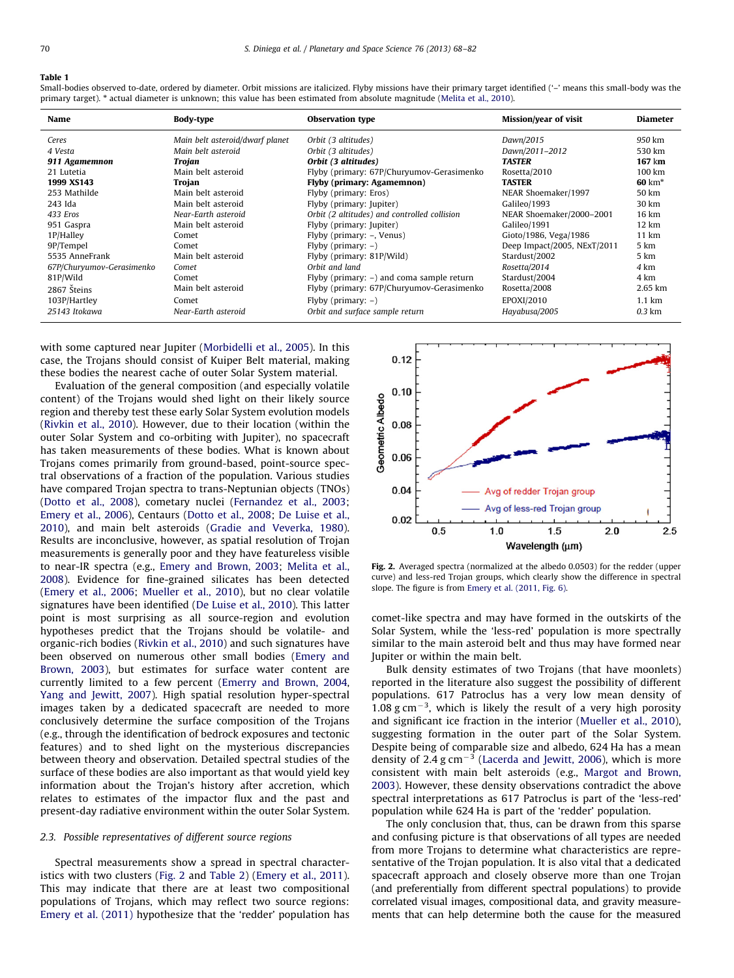<span id="page-2-0"></span>Small-bodies observed to-date, ordered by diameter. Orbit missions are italicized. Flyby missions have their primary target identified ('–' means this small-body was the primary target). \* actual diameter is unknown; this value has been estimated from absolute magnitude ([Melita et al., 2010](#page-13-0)).

| Name                      | <b>Body-type</b>                | <b>Observation type</b>                      | <b>Mission/year of visit</b> | Diameter           |
|---------------------------|---------------------------------|----------------------------------------------|------------------------------|--------------------|
| Ceres                     | Main belt asteroid/dwarf planet | Orbit (3 altitudes)                          | Dawn/2015                    | 950 km             |
| 4 Vesta                   | Main belt asteroid              | Orbit (3 altitudes)                          | Dawn/2011-2012               | 530 km             |
| 911 Agamemnon             | Trojan                          | Orbit (3 altitudes)                          | <b>TASTER</b>                | 167 km             |
| 21 Lutetia                | Main belt asteroid              | Flyby (primary: 67P/Churyumov-Gerasimenko    | Rosetta/2010                 | 100 km             |
| 1999 XS143                | Trojan                          | <b>Flyby (primary: Agamemnon)</b>            | <b>TASTER</b>                | $60 \mathrm{km}^*$ |
| 253 Mathilde              | Main belt asteroid              | Flyby (primary: Eros)                        | NEAR Shoemaker/1997          | 50 km              |
| 243 Ida                   | Main belt asteroid              | Flyby (primary: Jupiter)                     | Galileo/1993                 | 30 km              |
| 433 Eros                  | Near-Earth asteroid             | Orbit (2 altitudes) and controlled collision | NEAR Shoemaker/2000-2001     | 16 km              |
| 951 Gaspra                | Main belt asteroid              | Flyby (primary: Jupiter)                     | Galileo/1991                 | $12 \text{ km}$    |
| 1P/Halley                 | Comet                           | Flyby (primary: -, Venus)                    | Gioto/1986, Vega/1986        | 11 km              |
| 9P/Tempel                 | Comet                           | Flyby ( $primary: -$ )                       | Deep Impact/2005, NExT/2011  | 5 km               |
| 5535 AnneFrank            | Main belt asteroid              | Flyby (primary: 81P/Wild)                    | Stardust/2002                | 5 km               |
| 67P/Churyumov-Gerasimenko | Comet                           | Orbit and land                               | Rosetta/2014                 | 4 km               |
| 81P/Wild                  | Comet                           | Flyby (primary: $-$ ) and coma sample return | Stardust/2004                | 4 km               |
| 2867 Šteins               | Main belt asteroid              | Flyby (primary: 67P/Churyumov-Gerasimenko    | Rosetta/2008                 | 2.65 km            |
| 103P/Hartley              | Comet                           | Flyby ( $\text{primary: } -$ )               | EPOXI/2010                   | $1.1 \text{ km}$   |
| 25143 Itokawa             | Near-Earth asteroid             | Orbit and surface sample return              | Hayabusa/2005                | $0.3 \text{ km}$   |

with some captured near Jupiter [\(Morbidelli et al., 2005\)](#page-13-0). In this case, the Trojans should consist of Kuiper Belt material, making these bodies the nearest cache of outer Solar System material.

Evaluation of the general composition (and especially volatile content) of the Trojans would shed light on their likely source region and thereby test these early Solar System evolution models ([Rivkin et al., 2010](#page-14-0)). However, due to their location (within the outer Solar System and co-orbiting with Jupiter), no spacecraft has taken measurements of these bodies. What is known about Trojans comes primarily from ground-based, point-source spectral observations of a fraction of the population. Various studies have compared Trojan spectra to trans-Neptunian objects (TNOs) ([Dotto et al., 2008\)](#page-13-0), cometary nuclei ([Fernandez et al., 2003;](#page-13-0) [Emery et al., 2006\)](#page-13-0), Centaurs [\(Dotto et al., 2008](#page-13-0); [De Luise et al.,](#page-13-0) [2010\)](#page-13-0), and main belt asteroids ([Gradie and Veverka, 1980\)](#page-13-0). Results are inconclusive, however, as spatial resolution of Trojan measurements is generally poor and they have featureless visible to near-IR spectra (e.g., [Emery and Brown, 2003](#page-13-0); [Melita et al.,](#page-13-0) [2008\)](#page-13-0). Evidence for fine-grained silicates has been detected ([Emery et al., 2006](#page-13-0); [Mueller et al., 2010](#page-13-0)), but no clear volatile signatures have been identified [\(De Luise et al., 2010\)](#page-13-0). This latter point is most surprising as all source-region and evolution hypotheses predict that the Trojans should be volatile- and organic-rich bodies [\(Rivkin et al., 2010](#page-14-0)) and such signatures have been observed on numerous other small bodies ([Emery and](#page-13-0) [Brown, 2003\)](#page-13-0), but estimates for surface water content are currently limited to a few percent [\(Emerry and Brown, 2004,](#page-13-0) [Yang and Jewitt, 2007\)](#page-14-0). High spatial resolution hyper-spectral images taken by a dedicated spacecraft are needed to more conclusively determine the surface composition of the Trojans (e.g., through the identification of bedrock exposures and tectonic features) and to shed light on the mysterious discrepancies between theory and observation. Detailed spectral studies of the surface of these bodies are also important as that would yield key information about the Trojan's history after accretion, which relates to estimates of the impactor flux and the past and present-day radiative environment within the outer Solar System.

## 2.3. Possible representatives of different source regions

Spectral measurements show a spread in spectral characteristics with two clusters (Fig. 2 and [Table 2\)](#page-3-0) ([Emery et al., 2011\)](#page-13-0). This may indicate that there are at least two compositional populations of Trojans, which may reflect two source regions: [Emery et al. \(2011\)](#page-13-0) hypothesize that the 'redder' population has



Fig. 2. Averaged spectra (normalized at the albedo 0.0503) for the redder (upper curve) and less-red Trojan groups, which clearly show the difference in spectral slope. The figure is from [Emery et al. \(2011, Fig. 6\)](#page-13-0).

comet-like spectra and may have formed in the outskirts of the Solar System, while the 'less-red' population is more spectrally similar to the main asteroid belt and thus may have formed near Jupiter or within the main belt.

Bulk density estimates of two Trojans (that have moonlets) reported in the literature also suggest the possibility of different populations. 617 Patroclus has a very low mean density of 1.08 g cm<sup> $-3$ </sup>, which is likely the result of a very high porosity and significant ice fraction in the interior ([Mueller et al., 2010\)](#page-13-0), suggesting formation in the outer part of the Solar System. Despite being of comparable size and albedo, 624 Ha has a mean density of 2.4 g cm<sup> $-3$ </sup> ([Lacerda and Jewitt, 2006](#page-13-0)), which is more consistent with main belt asteroids (e.g., [Margot and Brown,](#page-13-0) [2003\)](#page-13-0). However, these density observations contradict the above spectral interpretations as 617 Patroclus is part of the 'less-red' population while 624 Ha is part of the 'redder' population.

The only conclusion that, thus, can be drawn from this sparse and confusing picture is that observations of all types are needed from more Trojans to determine what characteristics are representative of the Trojan population. It is also vital that a dedicated spacecraft approach and closely observe more than one Trojan (and preferentially from different spectral populations) to provide correlated visual images, compositional data, and gravity measurements that can help determine both the cause for the measured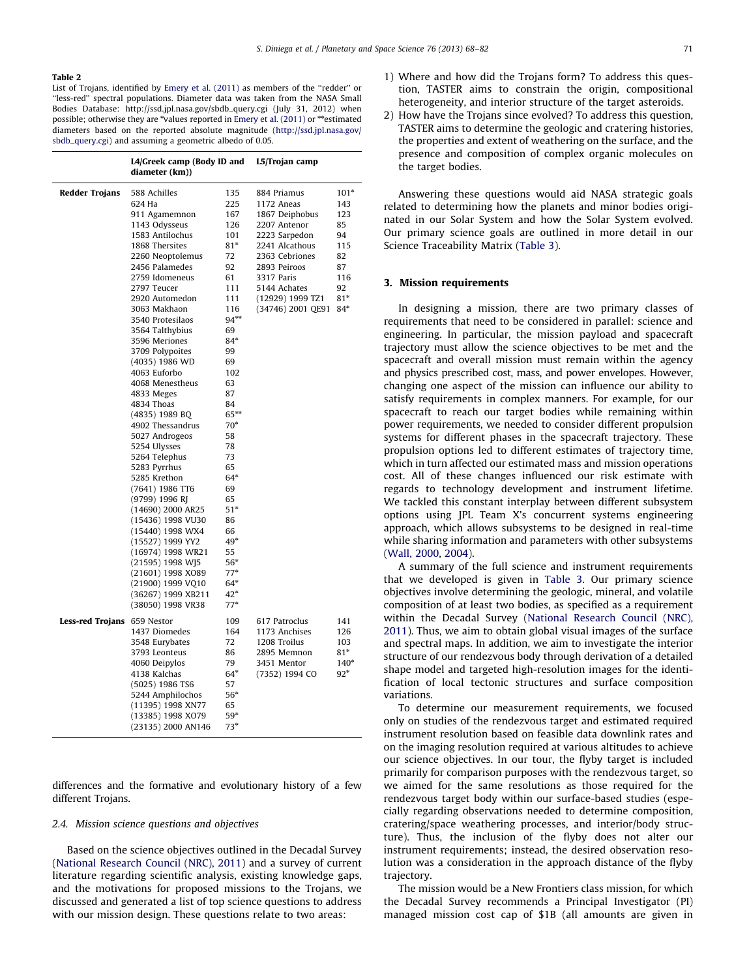<span id="page-3-0"></span>List of Trojans, identified by [Emery et al. \(2011\)](#page-13-0) as members of the ''redder'' or ''less-red'' spectral populations. Diameter data was taken from the NASA Small Bodies Database: http://ssd.jpl.nasa.gov/sbdb\_query.cgi (July 31, 2012) when possible; otherwise they are \*values reported in [Emery et al. \(2011\)](#page-13-0) or \*\*estimated diameters based on the reported absolute magnitude ([http://ssd.jpl.nasa.gov/](http://ssd.jpl.nasa.gov/sbdb_query.cgi) [sbdb\\_query.cgi](http://ssd.jpl.nasa.gov/sbdb_query.cgi)) and assuming a geometric albedo of 0.05.

|                       | L4/Greek camp (Body ID and<br>diameter (km)) |               | L5/Trojan camp    |        |  |  |
|-----------------------|----------------------------------------------|---------------|-------------------|--------|--|--|
| <b>Redder Trojans</b> | 588 Achilles                                 | 135           | 884 Priamus       | $101*$ |  |  |
|                       | 624 Ha                                       | 225           | 1172 Aneas        | 143    |  |  |
|                       | 911 Agamemnon                                | 167           | 1867 Deiphobus    | 123    |  |  |
|                       | 1143 Odysseus                                | 126           | 2207 Antenor      | 85     |  |  |
|                       | 1583 Antilochus                              | 101           | 2223 Sarpedon     | 94     |  |  |
|                       | 1868 Thersites                               | $81*$         | 2241 Alcathous    | 115    |  |  |
|                       | 2260 Neoptolemus                             | 72            | 2363 Cebriones    | 82     |  |  |
|                       | 2456 Palamedes                               | 92            | 2893 Peiroos      | 87     |  |  |
|                       | 2759 Idomeneus                               | 61            | 3317 Paris        | 116    |  |  |
|                       | 2797 Teucer                                  | 111           | 5144 Achates      | 92     |  |  |
|                       | 2920 Automedon                               | 111           | (12929) 1999 TZ1  | 81*    |  |  |
|                       | 3063 Makhaon                                 | 116           | (34746) 2001 QE91 | $84*$  |  |  |
|                       | 3540 Protesilaos                             | $94***$       |                   |        |  |  |
|                       | 3564 Talthybius                              | 69            |                   |        |  |  |
|                       | 3596 Meriones                                | 84*           |                   |        |  |  |
|                       | 3709 Polypoites                              | 99            |                   |        |  |  |
|                       | (4035) 1986 WD                               | 69            |                   |        |  |  |
|                       | 4063 Euforbo                                 | 102           |                   |        |  |  |
|                       | 4068 Menestheus                              | 63            |                   |        |  |  |
|                       | 4833 Meges                                   | 87            |                   |        |  |  |
|                       | 4834 Thoas                                   | 84<br>$65***$ |                   |        |  |  |
|                       | (4835) 1989 BQ<br>4902 Thessandrus           | $70*$         |                   |        |  |  |
|                       | 5027 Androgeos                               | 58            |                   |        |  |  |
|                       | 5254 Ulysses                                 | 78            |                   |        |  |  |
|                       | 5264 Telephus                                | 73            |                   |        |  |  |
|                       | 5283 Pyrrhus                                 | 65            |                   |        |  |  |
|                       | 5285 Krethon                                 | 64*           |                   |        |  |  |
|                       | (7641) 1986 TT6                              | 69            |                   |        |  |  |
|                       | (9799) 1996 RJ                               | 65            |                   |        |  |  |
|                       | (14690) 2000 AR25                            | $51*$         |                   |        |  |  |
|                       | (15436) 1998 VU30                            | 86            |                   |        |  |  |
|                       | (15440) 1998 WX4                             | 66            |                   |        |  |  |
|                       | (15527) 1999 YY2                             | 49*           |                   |        |  |  |
|                       | (16974) 1998 WR21                            | 55            |                   |        |  |  |
|                       | (21595) 1998 WJ5                             | 56*           |                   |        |  |  |
|                       | (21601) 1998 XO89                            | $77*$         |                   |        |  |  |
|                       | (21900) 1999 VQ10                            | 64*           |                   |        |  |  |
|                       | (36267) 1999 XB211                           | 42*           |                   |        |  |  |
|                       | (38050) 1998 VR38                            | $77*$         |                   |        |  |  |
| Less-red Trojans      | 659 Nestor                                   | 109           | 617 Patroclus     | 141    |  |  |
|                       | 1437 Diomedes                                | 164           | 1173 Anchises     | 126    |  |  |
|                       | 3548 Eurybates                               | 72            | 1208 Troilus      | 103    |  |  |
|                       | 3793 Leonteus                                | 86            | 2895 Memnon       | 81*    |  |  |
|                       | 4060 Deipylos                                | 79            | 3451 Mentor       | 140*   |  |  |
|                       | 4138 Kalchas                                 | 64*           | (7352) 1994 CO    | $92*$  |  |  |
|                       | (5025) 1986 TS6                              | 57            |                   |        |  |  |
|                       | 5244 Amphilochos                             | 56*           |                   |        |  |  |
|                       | (11395) 1998 XN77                            | 65            |                   |        |  |  |
|                       | (13385) 1998 XO79                            | 59*           |                   |        |  |  |
|                       | (23135) 2000 AN146                           | $73*$         |                   |        |  |  |

differences and the formative and evolutionary history of a few different Trojans.

## 2.4. Mission science questions and objectives

Based on the science objectives outlined in the Decadal Survey ([National Research Council \(NRC\), 2011](#page-13-0)) and a survey of current literature regarding scientific analysis, existing knowledge gaps, and the motivations for proposed missions to the Trojans, we discussed and generated a list of top science questions to address with our mission design. These questions relate to two areas:

- 1) Where and how did the Trojans form? To address this question, TASTER aims to constrain the origin, compositional heterogeneity, and interior structure of the target asteroids.
- 2) How have the Trojans since evolved? To address this question, TASTER aims to determine the geologic and cratering histories, the properties and extent of weathering on the surface, and the presence and composition of complex organic molecules on the target bodies.

Answering these questions would aid NASA strategic goals related to determining how the planets and minor bodies originated in our Solar System and how the Solar System evolved. Our primary science goals are outlined in more detail in our Science Traceability Matrix ([Table 3](#page-4-0)).

## 3. Mission requirements

In designing a mission, there are two primary classes of requirements that need to be considered in parallel: science and engineering. In particular, the mission payload and spacecraft trajectory must allow the science objectives to be met and the spacecraft and overall mission must remain within the agency and physics prescribed cost, mass, and power envelopes. However, changing one aspect of the mission can influence our ability to satisfy requirements in complex manners. For example, for our spacecraft to reach our target bodies while remaining within power requirements, we needed to consider different propulsion systems for different phases in the spacecraft trajectory. These propulsion options led to different estimates of trajectory time, which in turn affected our estimated mass and mission operations cost. All of these changes influenced our risk estimate with regards to technology development and instrument lifetime. We tackled this constant interplay between different subsystem options using JPL Team X's concurrent systems engineering approach, which allows subsystems to be designed in real-time while sharing information and parameters with other subsystems ([Wall, 2000](#page-14-0), [2004](#page-14-0)).

A summary of the full science and instrument requirements that we developed is given in [Table 3.](#page-4-0) Our primary science objectives involve determining the geologic, mineral, and volatile composition of at least two bodies, as specified as a requirement within the Decadal Survey [\(National Research Council \(NRC\),](#page-13-0) [2011\)](#page-13-0). Thus, we aim to obtain global visual images of the surface and spectral maps. In addition, we aim to investigate the interior structure of our rendezvous body through derivation of a detailed shape model and targeted high-resolution images for the identification of local tectonic structures and surface composition variations.

To determine our measurement requirements, we focused only on studies of the rendezvous target and estimated required instrument resolution based on feasible data downlink rates and on the imaging resolution required at various altitudes to achieve our science objectives. In our tour, the flyby target is included primarily for comparison purposes with the rendezvous target, so we aimed for the same resolutions as those required for the rendezvous target body within our surface-based studies (especially regarding observations needed to determine composition, cratering/space weathering processes, and interior/body structure). Thus, the inclusion of the flyby does not alter our instrument requirements; instead, the desired observation resolution was a consideration in the approach distance of the flyby trajectory.

The mission would be a New Frontiers class mission, for which the Decadal Survey recommends a Principal Investigator (PI) managed mission cost cap of \$1B (all amounts are given in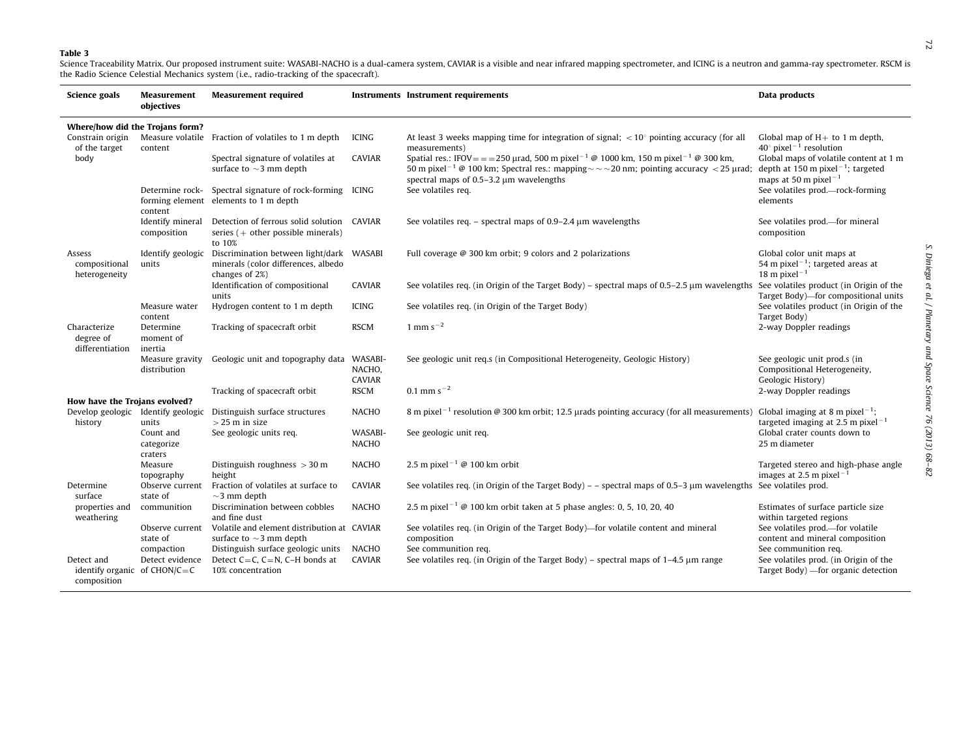<span id="page-4-0"></span>Science Traceability Matrix. Our proposed instrument suite: WASABI-NACHO is a dual-camera system, CAVIAR is a visible and near infrared mapping spectrometer, and ICING is a neutron and gamma-ray spectrometer. RSCM is the Radio Science Celestial Mechanics system (i.e., radio-tracking of the spacecraft).

| Science goals                                               | Measurement<br>objectives                                                                                  | <b>Measurement required</b>                                                                                         |                               | Instruments Instrument requirements                                                                                                                                                                                                                                       | Data products                                                                                                                                         |  |  |  |
|-------------------------------------------------------------|------------------------------------------------------------------------------------------------------------|---------------------------------------------------------------------------------------------------------------------|-------------------------------|---------------------------------------------------------------------------------------------------------------------------------------------------------------------------------------------------------------------------------------------------------------------------|-------------------------------------------------------------------------------------------------------------------------------------------------------|--|--|--|
| Where/how did the Trojans form?                             |                                                                                                            |                                                                                                                     |                               |                                                                                                                                                                                                                                                                           |                                                                                                                                                       |  |  |  |
| Constrain origin<br>of the target                           | content                                                                                                    | Measure volatile Fraction of volatiles to 1 m depth                                                                 | <b>ICING</b>                  | At least 3 weeks mapping time for integration of signal; $\langle 10^\circ$ pointing accuracy (for all<br>measurements)                                                                                                                                                   | Global map of $H+$ to 1 m depth,<br>$40^{\circ}$ pixel <sup>-1</sup> resolution                                                                       |  |  |  |
| body                                                        |                                                                                                            | Spectral signature of volatiles at<br>surface to $\sim$ 3 mm depth                                                  | <b>CAVIAR</b>                 | Spatial res.: IFOV = = = 250 µrad, 500 m pixel <sup>-1</sup> @ 1000 km, 150 m pixel <sup>-1</sup> @ 300 km,<br>50 m pixel <sup>-1</sup> @ 100 km; Spectral res.; mapping $\sim \sim$ ~20 nm; pointing accuracy < 25 µrad;<br>spectral maps of $0.5-3.2 \mu m$ wavelengths | Global maps of volatile content at 1 m<br>depth at 150 m pixel <sup><math>-1</math></sup> ; targeted<br>maps at 50 m pixel <sup><math>-1</math></sup> |  |  |  |
|                                                             | content                                                                                                    | Determine rock- Spectral signature of rock-forming ICING<br>forming element elements to 1 m depth                   |                               | See volatiles req.                                                                                                                                                                                                                                                        | See volatiles prod.-rock-forming<br>elements                                                                                                          |  |  |  |
|                                                             | Identify mineral<br>composition                                                                            | Detection of ferrous solid solution CAVIAR<br>series $(+)$ other possible minerals)<br>to 10%                       |                               | See volatiles req. $-$ spectral maps of 0.9–2.4 $\mu$ m wavelengths                                                                                                                                                                                                       | See volatiles prod.-for mineral<br>composition                                                                                                        |  |  |  |
| Assess<br>compositional<br>heterogeneity                    | units                                                                                                      | Identify geologic Discrimination between light/dark WASABI<br>minerals (color differences, albedo<br>changes of 2%) |                               | Full coverage @ 300 km orbit; 9 colors and 2 polarizations                                                                                                                                                                                                                | Global color unit maps at<br>54 m pixel <sup><math>-1</math></sup> ; targeted areas at<br>18 m pixel $^{-1}$                                          |  |  |  |
|                                                             |                                                                                                            | Identification of compositional<br>units                                                                            | <b>CAVIAR</b>                 | See volatiles req. (in Origin of the Target Body) – spectral maps of $0.5-2.5 \mu m$ wavelengths See volatiles product (in Origin of the                                                                                                                                  | Target Body)-for compositional units                                                                                                                  |  |  |  |
|                                                             | Measure water<br>content                                                                                   | Hydrogen content to 1 m depth                                                                                       | <b>ICING</b>                  | See volatiles req. (in Origin of the Target Body)                                                                                                                                                                                                                         | See volatiles product (in Origin of the<br>Target Body)                                                                                               |  |  |  |
| Characterize<br>degree of<br>differentiation                | Determine<br>moment of<br>inertia                                                                          | Tracking of spacecraft orbit                                                                                        | <b>RSCM</b>                   | $1 \text{ mm s}^{-2}$                                                                                                                                                                                                                                                     | 2-way Doppler readings                                                                                                                                |  |  |  |
|                                                             | Measure gravity<br>distribution                                                                            | Geologic unit and topography data WASABI-                                                                           | NACHO.<br><b>CAVIAR</b>       | See geologic unit req.s (in Compositional Heterogeneity, Geologic History)                                                                                                                                                                                                | See geologic unit prod.s (in<br>Compositional Heterogeneity,<br>Geologic History)                                                                     |  |  |  |
|                                                             |                                                                                                            | Tracking of spacecraft orbit                                                                                        | <b>RSCM</b>                   | 0.1 mm $s^{-2}$                                                                                                                                                                                                                                                           | 2-way Doppler readings                                                                                                                                |  |  |  |
| How have the Trojans evolved?                               |                                                                                                            |                                                                                                                     |                               |                                                                                                                                                                                                                                                                           |                                                                                                                                                       |  |  |  |
| history                                                     | units                                                                                                      | Develop geologic Identify geologic Distinguish surface structures<br>$>$ 25 m in size                               | <b>NACHO</b>                  | 8 m pixel <sup>-1</sup> resolution @ 300 km orbit; 12.5 urads pointing accuracy (for all measurements)                                                                                                                                                                    | Global imaging at 8 m pixel <sup><math>-1</math></sup> ;<br>targeted imaging at 2.5 m pixel <sup><math>-1</math></sup>                                |  |  |  |
|                                                             | Count and<br>categorize<br>craters                                                                         | See geologic units req.                                                                                             | WASABI-<br><b>NACHO</b>       | See geologic unit req.                                                                                                                                                                                                                                                    | Global crater counts down to<br>25 m diameter                                                                                                         |  |  |  |
|                                                             | Measure<br>topography                                                                                      | Distinguish roughness $>$ 30 m<br>height                                                                            | <b>NACHO</b>                  | 2.5 m pixel <sup><math>-1</math></sup> @ 100 km orbit                                                                                                                                                                                                                     | Targeted stereo and high-phase angle<br>images at 2.5 m pixel <sup><math>-1</math></sup>                                                              |  |  |  |
| Determine<br>surface                                        | Observe current<br>state of                                                                                | Fraction of volatiles at surface to<br>$\sim$ 3 mm depth                                                            | CAVIAR                        | See volatiles req. (in Origin of the Target Body) – – spectral maps of 0.5–3 $\mu$ m wavelengths See volatiles prod.                                                                                                                                                      |                                                                                                                                                       |  |  |  |
| properties and<br>weathering                                | communition                                                                                                | Discrimination between cobbles<br>and fine dust                                                                     | <b>NACHO</b>                  | 2.5 m pixel <sup><math>-1</math></sup> @ 100 km orbit taken at 5 phase angles: 0, 5, 10, 20, 40                                                                                                                                                                           | Estimates of surface particle size<br>within targeted regions                                                                                         |  |  |  |
|                                                             | Volatile and element distribution at CAVIAR<br>Observe current<br>surface to $\sim$ 3 mm depth<br>state of |                                                                                                                     |                               | See volatiles req. (in Origin of the Target Body)—for volatile content and mineral<br>composition                                                                                                                                                                         | See volatiles prod.-for volatile<br>content and mineral composition                                                                                   |  |  |  |
| Detect and<br>identify organic of $CHON/C=C$<br>composition | compaction<br>Detect evidence                                                                              | Distinguish surface geologic units<br>Detect $C = C$ , $C = N$ , $C-H$ bonds at<br>10% concentration                | <b>NACHO</b><br><b>CAVIAR</b> | See communition req.<br>See volatiles req. (in Origin of the Target Body) – spectral maps of $1-4.5 \mu m$ range                                                                                                                                                          | See communition req.<br>See volatiles prod. (in Origin of the<br>Target Body) - for organic detection                                                 |  |  |  |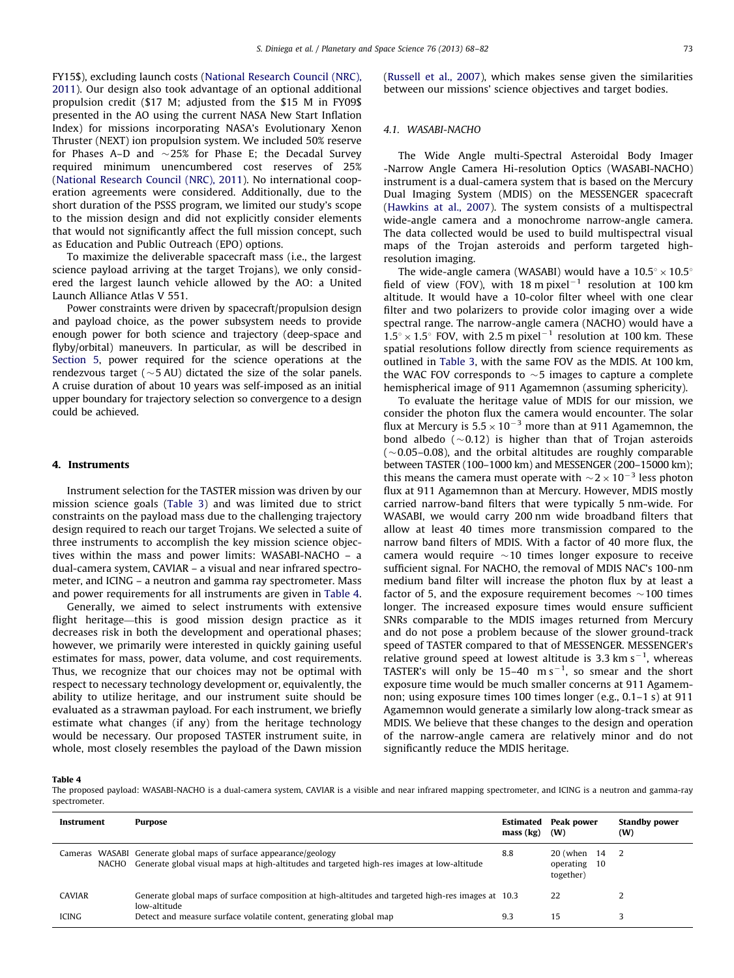<span id="page-5-0"></span>FY15\$), excluding launch costs [\(National Research Council \(NRC\),](#page-13-0) [2011\)](#page-13-0). Our design also took advantage of an optional additional propulsion credit (\$17 M; adjusted from the \$15 M in FY09\$ presented in the AO using the current NASA New Start Inflation Index) for missions incorporating NASA's Evolutionary Xenon Thruster (NEXT) ion propulsion system. We included 50% reserve for Phases A–D and  ${\sim}{25}\%$  for Phase E; the Decadal Survey required minimum unencumbered cost reserves of 25% ([National Research Council \(NRC\), 2011](#page-13-0)). No international cooperation agreements were considered. Additionally, due to the short duration of the PSSS program, we limited our study's scope to the mission design and did not explicitly consider elements that would not significantly affect the full mission concept, such as Education and Public Outreach (EPO) options.

To maximize the deliverable spacecraft mass (i.e., the largest science payload arriving at the target Trojans), we only considered the largest launch vehicle allowed by the AO: a United Launch Alliance Atlas V 551.

Power constraints were driven by spacecraft/propulsion design and payload choice, as the power subsystem needs to provide enough power for both science and trajectory (deep-space and flyby/orbital) maneuvers. In particular, as will be described in [Section 5](#page-6-0), power required for the science operations at the rendezvous target ( $\sim$ 5 AU) dictated the size of the solar panels. A cruise duration of about 10 years was self-imposed as an initial upper boundary for trajectory selection so convergence to a design could be achieved.

## 4. Instruments

Instrument selection for the TASTER mission was driven by our mission science goals ([Table 3\)](#page-4-0) and was limited due to strict constraints on the payload mass due to the challenging trajectory design required to reach our target Trojans. We selected a suite of three instruments to accomplish the key mission science objectives within the mass and power limits: WASABI-NACHO – a dual-camera system, CAVIAR – a visual and near infrared spectrometer, and ICING – a neutron and gamma ray spectrometer. Mass and power requirements for all instruments are given in Table 4.

Generally, we aimed to select instruments with extensive flight heritage—this is good mission design practice as it decreases risk in both the development and operational phases; however, we primarily were interested in quickly gaining useful estimates for mass, power, data volume, and cost requirements. Thus, we recognize that our choices may not be optimal with respect to necessary technology development or, equivalently, the ability to utilize heritage, and our instrument suite should be evaluated as a strawman payload. For each instrument, we briefly estimate what changes (if any) from the heritage technology would be necessary. Our proposed TASTER instrument suite, in whole, most closely resembles the payload of the Dawn mission ([Russell et al., 2007\)](#page-14-0), which makes sense given the similarities between our missions' science objectives and target bodies.

## 4.1. WASABI-NACHO

The Wide Angle multi-Spectral Asteroidal Body Imager -Narrow Angle Camera Hi-resolution Optics (WASABI-NACHO) instrument is a dual-camera system that is based on the Mercury Dual Imaging System (MDIS) on the MESSENGER spacecraft ([Hawkins at al., 2007\)](#page-13-0). The system consists of a multispectral wide-angle camera and a monochrome narrow-angle camera. The data collected would be used to build multispectral visual maps of the Trojan asteroids and perform targeted highresolution imaging.

The wide-angle camera (WASABI) would have a  $10.5^{\circ} \times 10.5^{\circ}$ field of view (FOV), with  $18 \text{ m pixel}^{-1}$  resolution at 100 km altitude. It would have a 10-color filter wheel with one clear filter and two polarizers to provide color imaging over a wide spectral range. The narrow-angle camera (NACHO) would have a  $1.5^{\circ} \times 1.5^{\circ}$  FOV, with 2.5 m pixel<sup>-1</sup> resolution at 100 km. These spatial resolutions follow directly from science requirements as outlined in [Table 3,](#page-4-0) with the same FOV as the MDIS. At 100 km, the WAC FOV corresponds to  $\sim$  5 images to capture a complete hemispherical image of 911 Agamemnon (assuming sphericity).

To evaluate the heritage value of MDIS for our mission, we consider the photon flux the camera would encounter. The solar flux at Mercury is  $5.5 \times 10^{-3}$  more than at 911 Agamemnon, the bond albedo ( $\sim$ 0.12) is higher than that of Trojan asteroids ( $\sim$ 0.05–0.08), and the orbital altitudes are roughly comparable between TASTER (100–1000 km) and MESSENGER (200–15000 km); this means the camera must operate with  $\sim$  2  $\times$  10<sup>-3</sup> less photon flux at 911 Agamemnon than at Mercury. However, MDIS mostly carried narrow-band filters that were typically 5 nm-wide. For WASABI, we would carry 200 nm wide broadband filters that allow at least 40 times more transmission compared to the narrow band filters of MDIS. With a factor of 40 more flux, the camera would require  $\sim$ 10 times longer exposure to receive sufficient signal. For NACHO, the removal of MDIS NAC's 100-nm medium band filter will increase the photon flux by at least a factor of 5, and the exposure requirement becomes  $\sim$  100 times longer. The increased exposure times would ensure sufficient SNRs comparable to the MDIS images returned from Mercury and do not pose a problem because of the slower ground-track speed of TASTER compared to that of MESSENGER. MESSENGER's relative ground speed at lowest altitude is 3.3 km  $s^{-1}$ , whereas TASTER's will only be 15–40  $\mathrm{m s^{-1}}$ , so smear and the short exposure time would be much smaller concerns at 911 Agamemnon; using exposure times 100 times longer (e.g., 0.1–1 s) at 911 Agamemnon would generate a similarly low along-track smear as MDIS. We believe that these changes to the design and operation of the narrow-angle camera are relatively minor and do not significantly reduce the MDIS heritage.

Table 4

The proposed payload: WASABI-NACHO is a dual-camera system, CAVIAR is a visible and near infrared mapping spectrometer, and ICING is a neutron and gamma-ray spectrometer.

| Instrument    | Purpose                                                                                                                                                         | mass (kg) | Estimated Peak power<br>(W)              | <b>Standby power</b><br>(W) |
|---------------|-----------------------------------------------------------------------------------------------------------------------------------------------------------------|-----------|------------------------------------------|-----------------------------|
| NACHO         | Cameras WASABI Generate global maps of surface appearance/geology<br>Generate global visual maps at high-altitudes and targeted high-res images at low-altitude | 8.8       | 20 (when 14<br>operating 10<br>together) | - 2                         |
| <b>CAVIAR</b> | Generate global maps of surface composition at high-altitudes and targeted high-res images at 10.3<br>low-altitude                                              |           | 22                                       |                             |
| <b>ICING</b>  | Detect and measure surface volatile content, generating global map                                                                                              | 9.3       | 15                                       |                             |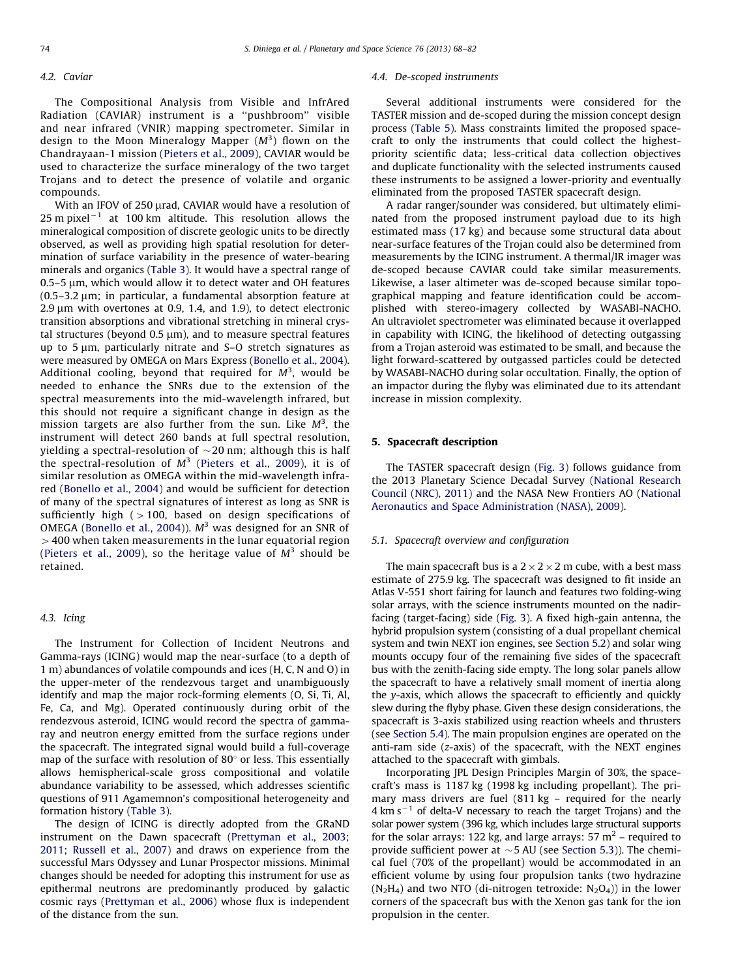## <span id="page-6-0"></span>4.2. Caviar

The Compositional Analysis from Visible and InfrAred Radiation (CAVIAR) instrument is a ''pushbroom'' visible and near infrared (VNIR) mapping spectrometer. Similar in design to the Moon Mineralogy Mapper  $(M^3)$  flown on the Chandrayaan-1 mission ([Pieters et al., 2009\)](#page-13-0), CAVIAR would be used to characterize the surface mineralogy of the two target Trojans and to detect the presence of volatile and organic compounds.

With an IFOV of 250 urad, CAVIAR would have a resolution of  $25$  m pixel<sup>-1</sup> at 100 km altitude. This resolution allows the mineralogical composition of discrete geologic units to be directly observed, as well as providing high spatial resolution for determination of surface variability in the presence of water-bearing minerals and organics ([Table 3\)](#page-4-0). It would have a spectral range of 0.5–5 µm, which would allow it to detect water and OH features  $(0.5-3.2 \mu m)$ ; in particular, a fundamental absorption feature at  $2.9 \mu m$  with overtones at 0.9, 1.4, and 1.9), to detect electronic transition absorptions and vibrational stretching in mineral crystal structures (beyond  $0.5 \mu m$ ), and to measure spectral features up to 5  $\mu$ m, particularly nitrate and S–O stretch signatures as were measured by OMEGA on Mars Express ([Bonello et al., 2004\)](#page-13-0). Additional cooling, beyond that required for  $M^3$ , would be needed to enhance the SNRs due to the extension of the spectral measurements into the mid-wavelength infrared, but this should not require a significant change in design as the mission targets are also further from the sun. Like  $M^3$ , the instrument will detect 260 bands at full spectral resolution, yielding a spectral-resolution of  ${\sim}$ 20 nm; although this is half the spectral-resolution of  $M^3$  ([Pieters et al., 2009\)](#page-13-0), it is of similar resolution as OMEGA within the mid-wavelength infrared ([Bonello et al., 2004](#page-13-0)) and would be sufficient for detection of many of the spectral signatures of interest as long as SNR is sufficiently high ( $>100$ , based on design specifications of OMEGA [\(Bonello et al., 2004\)](#page-13-0)).  $M^3$  was designed for an SNR of 4400 when taken measurements in the lunar equatorial region ([Pieters et al., 2009](#page-13-0)), so the heritage value of  $M^3$  should be retained.

## 4.3. Icing

The Instrument for Collection of Incident Neutrons and Gamma-rays (ICING) would map the near-surface (to a depth of 1 m) abundances of volatile compounds and ices (H, C, N and O) in the upper-meter of the rendezvous target and unambiguously identify and map the major rock-forming elements (O, Si, Ti, Al, Fe, Ca, and Mg). Operated continuously during orbit of the rendezvous asteroid, ICING would record the spectra of gammaray and neutron energy emitted from the surface regions under the spacecraft. The integrated signal would build a full-coverage map of the surface with resolution of  $80^{\circ}$  or less. This essentially allows hemispherical-scale gross compositional and volatile abundance variability to be assessed, which addresses scientific questions of 911 Agamemnon's compositional heterogeneity and formation history [\(Table 3\)](#page-4-0).

The design of ICING is directly adopted from the GRaND instrument on the Dawn spacecraft ([Prettyman et al., 2003;](#page-13-0) [2011;](#page-14-0) [Russell et al., 2007\)](#page-14-0) and draws on experience from the successful Mars Odyssey and Lunar Prospector missions. Minimal changes should be needed for adopting this instrument for use as epithermal neutrons are predominantly produced by galactic cosmic rays [\(Prettyman et al., 2006\)](#page-13-0) whose flux is independent of the distance from the sun.

#### 4.4. De-scoped instruments

Several additional instruments were considered for the TASTER mission and de-scoped during the mission concept design process ([Table 5\)](#page-7-0). Mass constraints limited the proposed spacecraft to only the instruments that could collect the highestpriority scientific data; less-critical data collection objectives and duplicate functionality with the selected instruments caused these instruments to be assigned a lower-priority and eventually eliminated from the proposed TASTER spacecraft design.

A radar ranger/sounder was considered, but ultimately eliminated from the proposed instrument payload due to its high estimated mass (17 kg) and because some structural data about near-surface features of the Trojan could also be determined from measurements by the ICING instrument. A thermal/IR imager was de-scoped because CAVIAR could take similar measurements. Likewise, a laser altimeter was de-scoped because similar topographical mapping and feature identification could be accomplished with stereo-imagery collected by WASABI-NACHO. An ultraviolet spectrometer was eliminated because it overlapped in capability with ICING, the likelihood of detecting outgassing from a Trojan asteroid was estimated to be small, and because the light forward-scattered by outgassed particles could be detected by WASABI-NACHO during solar occultation. Finally, the option of an impactor during the flyby was eliminated due to its attendant increase in mission complexity.

## 5. Spacecraft description

The TASTER spacecraft design [\(Fig. 3\)](#page-7-0) follows guidance from the 2013 Planetary Science Decadal Survey [\(National Research](#page-13-0) [Council \(NRC\), 2011](#page-13-0)) and the NASA New Frontiers AO [\(National](#page-13-0) [Aeronautics and Space Administration \(NASA\), 2009](#page-13-0)).

## 5.1. Spacecraft overview and configuration

The main spacecraft bus is a  $2 \times 2 \times 2$  m cube, with a best mass estimate of 275.9 kg. The spacecraft was designed to fit inside an Atlas V-551 short fairing for launch and features two folding-wing solar arrays, with the science instruments mounted on the nadirfacing (target-facing) side [\(Fig. 3](#page-7-0)). A fixed high-gain antenna, the hybrid propulsion system (consisting of a dual propellant chemical system and twin NEXT ion engines, see [Section 5.2\)](#page-7-0) and solar wing mounts occupy four of the remaining five sides of the spacecraft bus with the zenith-facing side empty. The long solar panels allow the spacecraft to have a relatively small moment of inertia along the y-axis, which allows the spacecraft to efficiently and quickly slew during the flyby phase. Given these design considerations, the spacecraft is 3-axis stabilized using reaction wheels and thrusters (see [Section 5.4](#page-8-0)). The main propulsion engines are operated on the anti-ram side (z-axis) of the spacecraft, with the NEXT engines attached to the spacecraft with gimbals.

Incorporating JPL Design Principles Margin of 30%, the spacecraft's mass is 1187 kg (1998 kg including propellant). The primary mass drivers are fuel (811 kg – required for the nearly  $4 \text{ km s}^{-1}$  of delta-V necessary to reach the target Trojans) and the solar power system (396 kg, which includes large structural supports for the solar arrays: 122 kg, and large arrays:  $57 \text{ m}^2$  – required to provide sufficient power at  $\sim$  5 AU (see [Section 5.3\)](#page-7-0)). The chemical fuel (70% of the propellant) would be accommodated in an efficient volume by using four propulsion tanks (two hydrazine  $(N_2H_4)$  and two NTO (di-nitrogen tetroxide:  $N_2O_4$ )) in the lower corners of the spacecraft bus with the Xenon gas tank for the ion propulsion in the center.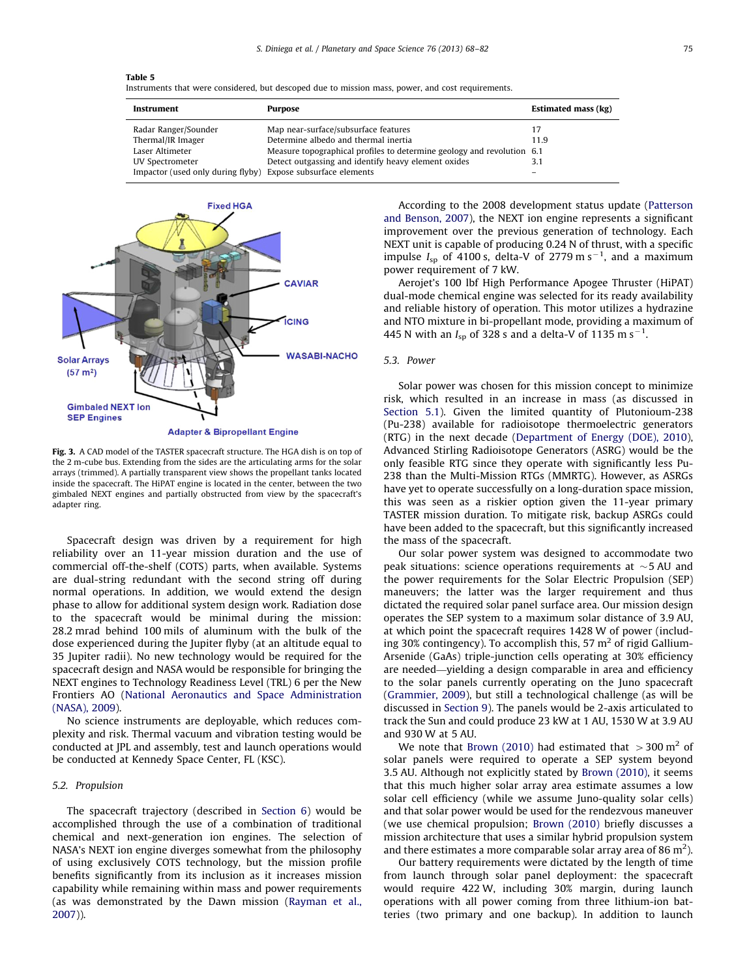<span id="page-7-0"></span>Instruments that were considered, but descoped due to mission mass, power, and cost requirements.

| Instrument                                                   | Purpose                                                                | Estimated mass (kg) |
|--------------------------------------------------------------|------------------------------------------------------------------------|---------------------|
| Radar Ranger/Sounder                                         | Map near-surface/subsurface features                                   |                     |
| Thermal/IR Imager                                            | Determine albedo and thermal inertia                                   | 11.9                |
| Laser Altimeter                                              | Measure topographical profiles to determine geology and revolution 6.1 |                     |
| UV Spectrometer                                              | Detect outgassing and identify heavy element oxides                    | 3.1                 |
| Impactor (used only during flyby) Expose subsurface elements |                                                                        |                     |



Fig. 3. A CAD model of the TASTER spacecraft structure. The HGA dish is on top of the 2 m-cube bus. Extending from the sides are the articulating arms for the solar arrays (trimmed). A partially transparent view shows the propellant tanks located inside the spacecraft. The HiPAT engine is located in the center, between the two gimbaled NEXT engines and partially obstructed from view by the spacecraft's adapter ring.

Spacecraft design was driven by a requirement for high reliability over an 11-year mission duration and the use of commercial off-the-shelf (COTS) parts, when available. Systems are dual-string redundant with the second string off during normal operations. In addition, we would extend the design phase to allow for additional system design work. Radiation dose to the spacecraft would be minimal during the mission: 28.2 mrad behind 100 mils of aluminum with the bulk of the dose experienced during the Jupiter flyby (at an altitude equal to 35 Jupiter radii). No new technology would be required for the spacecraft design and NASA would be responsible for bringing the NEXT engines to Technology Readiness Level (TRL) 6 per the New Frontiers AO [\(National Aeronautics and Space Administration](#page-13-0) [\(NASA\), 2009\)](#page-13-0).

No science instruments are deployable, which reduces complexity and risk. Thermal vacuum and vibration testing would be conducted at JPL and assembly, test and launch operations would be conducted at Kennedy Space Center, FL (KSC).

## 5.2. Propulsion

The spacecraft trajectory (described in [Section 6](#page-8-0)) would be accomplished through the use of a combination of traditional chemical and next-generation ion engines. The selection of NASA's NEXT ion engine diverges somewhat from the philosophy of using exclusively COTS technology, but the mission profile benefits significantly from its inclusion as it increases mission capability while remaining within mass and power requirements (as was demonstrated by the Dawn mission [\(Rayman et al.,](#page-14-0) [2007\)](#page-14-0)).

According to the 2008 development status update [\(Patterson](#page-13-0) [and Benson, 2007\)](#page-13-0), the NEXT ion engine represents a significant improvement over the previous generation of technology. Each NEXT unit is capable of producing 0.24 N of thrust, with a specific impulse  $I_{sp}$  of 4100 s, delta-V of 2779 m s<sup>-1</sup>, and a maximum power requirement of 7 kW.

Aerojet's 100 lbf High Performance Apogee Thruster (HiPAT) dual-mode chemical engine was selected for its ready availability and reliable history of operation. This motor utilizes a hydrazine and NTO mixture in bi-propellant mode, providing a maximum of 445 N with an  $I_{\rm sp}$  of 328 s and a delta-V of 1135 m s $^{-1}$ .

## 5.3. Power

Solar power was chosen for this mission concept to minimize risk, which resulted in an increase in mass (as discussed in [Section 5.1\)](#page-6-0). Given the limited quantity of Plutonioum-238 (Pu-238) available for radioisotope thermoelectric generators (RTG) in the next decade ([Department of Energy \(DOE\), 2010\)](#page-13-0), Advanced Stirling Radioisotope Generators (ASRG) would be the only feasible RTG since they operate with significantly less Pu-238 than the Multi-Mission RTGs (MMRTG). However, as ASRGs have yet to operate successfully on a long-duration space mission, this was seen as a riskier option given the 11-year primary TASTER mission duration. To mitigate risk, backup ASRGs could have been added to the spacecraft, but this significantly increased the mass of the spacecraft.

Our solar power system was designed to accommodate two peak situations: science operations requirements at  $\sim$  5 AU and the power requirements for the Solar Electric Propulsion (SEP) maneuvers; the latter was the larger requirement and thus dictated the required solar panel surface area. Our mission design operates the SEP system to a maximum solar distance of 3.9 AU, at which point the spacecraft requires 1428 W of power (including 30% contingency). To accomplish this, 57  $m<sup>2</sup>$  of rigid Gallium-Arsenide (GaAs) triple-junction cells operating at 30% efficiency are needed—yielding a design comparable in area and efficiency to the solar panels currently operating on the Juno spacecraft ([Grammier, 2009\)](#page-13-0), but still a technological challenge (as will be discussed in [Section 9\)](#page-11-0). The panels would be 2-axis articulated to track the Sun and could produce 23 kW at 1 AU, 1530 W at 3.9 AU and 930 W at 5 AU.

We note that [Brown \(2010\)](#page-13-0) had estimated that  $>$  300 m<sup>2</sup> of solar panels were required to operate a SEP system beyond 3.5 AU. Although not explicitly stated by [Brown \(2010\),](#page-13-0) it seems that this much higher solar array area estimate assumes a low solar cell efficiency (while we assume Juno-quality solar cells) and that solar power would be used for the rendezvous maneuver (we use chemical propulsion; [Brown \(2010\)](#page-13-0) briefly discusses a mission architecture that uses a similar hybrid propulsion system and there estimates a more comparable solar array area of 86 m<sup>2</sup>).

Our battery requirements were dictated by the length of time from launch through solar panel deployment: the spacecraft would require 422 W, including 30% margin, during launch operations with all power coming from three lithium-ion batteries (two primary and one backup). In addition to launch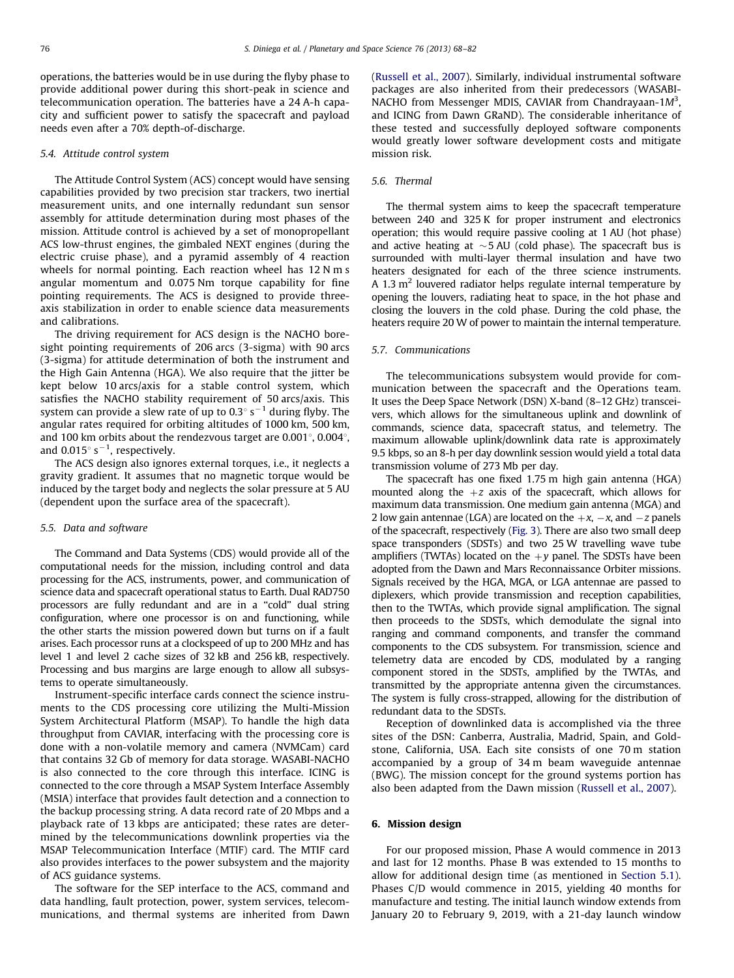<span id="page-8-0"></span>operations, the batteries would be in use during the flyby phase to provide additional power during this short-peak in science and telecommunication operation. The batteries have a 24 A-h capacity and sufficient power to satisfy the spacecraft and payload needs even after a 70% depth-of-discharge.

### 5.4. Attitude control system

The Attitude Control System (ACS) concept would have sensing capabilities provided by two precision star trackers, two inertial measurement units, and one internally redundant sun sensor assembly for attitude determination during most phases of the mission. Attitude control is achieved by a set of monopropellant ACS low-thrust engines, the gimbaled NEXT engines (during the electric cruise phase), and a pyramid assembly of 4 reaction wheels for normal pointing. Each reaction wheel has 12 N m s angular momentum and 0.075 Nm torque capability for fine pointing requirements. The ACS is designed to provide threeaxis stabilization in order to enable science data measurements and calibrations.

The driving requirement for ACS design is the NACHO boresight pointing requirements of 206 arcs (3-sigma) with 90 arcs (3-sigma) for attitude determination of both the instrument and the High Gain Antenna (HGA). We also require that the jitter be kept below 10 arcs/axis for a stable control system, which satisfies the NACHO stability requirement of 50 arcs/axis. This system can provide a slew rate of up to  $0.3^{\circ}$  s<sup>-1</sup> during flyby. The angular rates required for orbiting altitudes of 1000 km, 500 km, and 100 km orbits about the rendezvous target are  $0.001^{\circ}$ ,  $0.004^{\circ}$ , and 0.015 $^{\circ}$  s<sup>-1</sup>, respectively.

The ACS design also ignores external torques, i.e., it neglects a gravity gradient. It assumes that no magnetic torque would be induced by the target body and neglects the solar pressure at 5 AU (dependent upon the surface area of the spacecraft).

## 5.5. Data and software

The Command and Data Systems (CDS) would provide all of the computational needs for the mission, including control and data processing for the ACS, instruments, power, and communication of science data and spacecraft operational status to Earth. Dual RAD750 processors are fully redundant and are in a ''cold'' dual string configuration, where one processor is on and functioning, while the other starts the mission powered down but turns on if a fault arises. Each processor runs at a clockspeed of up to 200 MHz and has level 1 and level 2 cache sizes of 32 kB and 256 kB, respectively. Processing and bus margins are large enough to allow all subsystems to operate simultaneously.

Instrument-specific interface cards connect the science instruments to the CDS processing core utilizing the Multi-Mission System Architectural Platform (MSAP). To handle the high data throughput from CAVIAR, interfacing with the processing core is done with a non-volatile memory and camera (NVMCam) card that contains 32 Gb of memory for data storage. WASABI-NACHO is also connected to the core through this interface. ICING is connected to the core through a MSAP System Interface Assembly (MSIA) interface that provides fault detection and a connection to the backup processing string. A data record rate of 20 Mbps and a playback rate of 13 kbps are anticipated; these rates are determined by the telecommunications downlink properties via the MSAP Telecommunication Interface (MTIF) card. The MTIF card also provides interfaces to the power subsystem and the majority of ACS guidance systems.

The software for the SEP interface to the ACS, command and data handling, fault protection, power, system services, telecommunications, and thermal systems are inherited from Dawn ([Russell et al., 2007\)](#page-14-0). Similarly, individual instrumental software packages are also inherited from their predecessors (WASABI-NACHO from Messenger MDIS, CAVIAR from Chandrayaan-1 $M^3$ , and ICING from Dawn GRaND). The considerable inheritance of these tested and successfully deployed software components would greatly lower software development costs and mitigate mission risk.

#### 5.6. Thermal

The thermal system aims to keep the spacecraft temperature between 240 and 325 K for proper instrument and electronics operation; this would require passive cooling at 1 AU (hot phase) and active heating at  $\sim$  5 AU (cold phase). The spacecraft bus is surrounded with multi-layer thermal insulation and have two heaters designated for each of the three science instruments. A 1.3  $m<sup>2</sup>$  louvered radiator helps regulate internal temperature by opening the louvers, radiating heat to space, in the hot phase and closing the louvers in the cold phase. During the cold phase, the heaters require 20 W of power to maintain the internal temperature.

## 5.7. Communications

The telecommunications subsystem would provide for communication between the spacecraft and the Operations team. It uses the Deep Space Network (DSN) X-band (8–12 GHz) transceivers, which allows for the simultaneous uplink and downlink of commands, science data, spacecraft status, and telemetry. The maximum allowable uplink/downlink data rate is approximately 9.5 kbps, so an 8-h per day downlink session would yield a total data transmission volume of 273 Mb per day.

The spacecraft has one fixed 1.75 m high gain antenna (HGA) mounted along the  $+z$  axis of the spacecraft, which allows for maximum data transmission. One medium gain antenna (MGA) and 2 low gain antennae (LGA) are located on the  $+x$ ,  $-x$ , and  $-z$  panels of the spacecraft, respectively ([Fig. 3](#page-7-0)). There are also two small deep space transponders (SDSTs) and two 25 W travelling wave tube amplifiers (TWTAs) located on the  $+y$  panel. The SDSTs have been adopted from the Dawn and Mars Reconnaissance Orbiter missions. Signals received by the HGA, MGA, or LGA antennae are passed to diplexers, which provide transmission and reception capabilities, then to the TWTAs, which provide signal amplification. The signal then proceeds to the SDSTs, which demodulate the signal into ranging and command components, and transfer the command components to the CDS subsystem. For transmission, science and telemetry data are encoded by CDS, modulated by a ranging component stored in the SDSTs, amplified by the TWTAs, and transmitted by the appropriate antenna given the circumstances. The system is fully cross-strapped, allowing for the distribution of redundant data to the SDSTs.

Reception of downlinked data is accomplished via the three sites of the DSN: Canberra, Australia, Madrid, Spain, and Goldstone, California, USA. Each site consists of one 70 m station accompanied by a group of 34 m beam waveguide antennae (BWG). The mission concept for the ground systems portion has also been adapted from the Dawn mission ([Russell et al., 2007](#page-14-0)).

## 6. Mission design

For our proposed mission, Phase A would commence in 2013 and last for 12 months. Phase B was extended to 15 months to allow for additional design time (as mentioned in [Section 5.1\)](#page-6-0). Phases C/D would commence in 2015, yielding 40 months for manufacture and testing. The initial launch window extends from January 20 to February 9, 2019, with a 21-day launch window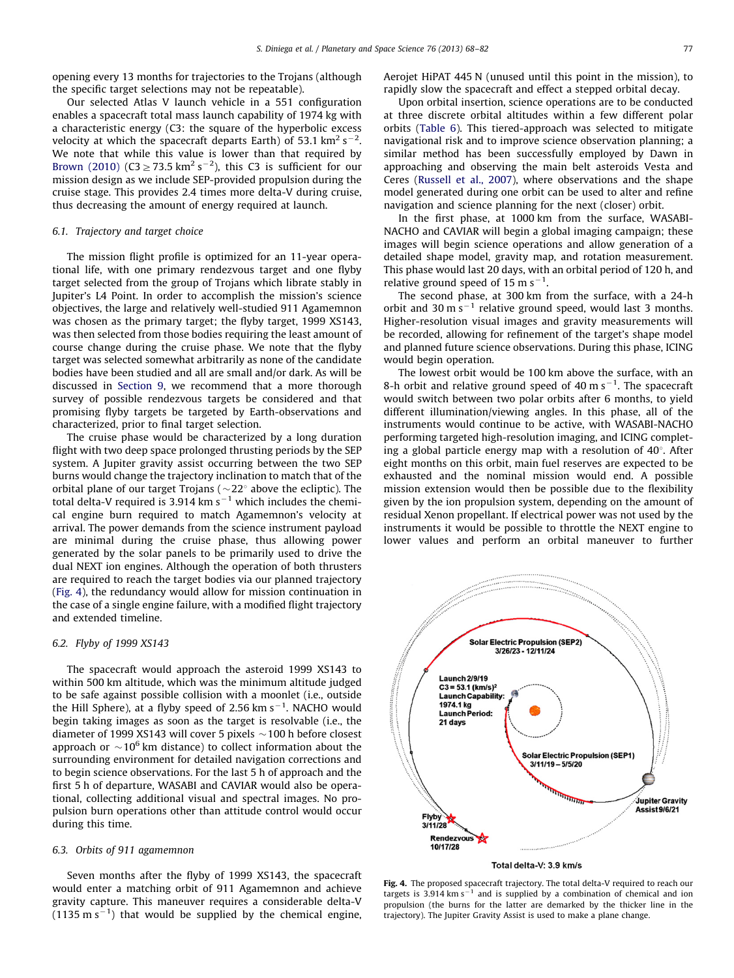opening every 13 months for trajectories to the Trojans (although the specific target selections may not be repeatable).

Our selected Atlas V launch vehicle in a 551 configuration enables a spacecraft total mass launch capability of 1974 kg with a characteristic energy (C3: the square of the hyperbolic excess velocity at which the spacecraft departs Earth) of 53.1 km<sup>2</sup> s<sup>-2</sup>. We note that while this value is lower than that required by [Brown \(2010\)](#page-13-0) (C3  $\geq$  73.5 km<sup>2</sup> s<sup>-2</sup>), this C3 is sufficient for our mission design as we include SEP-provided propulsion during the cruise stage. This provides 2.4 times more delta-V during cruise, thus decreasing the amount of energy required at launch.

## 6.1. Trajectory and target choice

The mission flight profile is optimized for an 11-year operational life, with one primary rendezvous target and one flyby target selected from the group of Trojans which librate stably in Jupiter's L4 Point. In order to accomplish the mission's science objectives, the large and relatively well-studied 911 Agamemnon was chosen as the primary target; the flyby target, 1999 XS143, was then selected from those bodies requiring the least amount of course change during the cruise phase. We note that the flyby target was selected somewhat arbitrarily as none of the candidate bodies have been studied and all are small and/or dark. As will be discussed in [Section 9,](#page-11-0) we recommend that a more thorough survey of possible rendezvous targets be considered and that promising flyby targets be targeted by Earth-observations and characterized, prior to final target selection.

The cruise phase would be characterized by a long duration flight with two deep space prolonged thrusting periods by the SEP system. A Jupiter gravity assist occurring between the two SEP burns would change the trajectory inclination to match that of the orbital plane of our target Trojans ( $\sim$ 22 $^\circ$  above the ecliptic). The total delta-V required is  $3.914 \text{ km s}^{-1}$  which includes the chemical engine burn required to match Agamemnon's velocity at arrival. The power demands from the science instrument payload are minimal during the cruise phase, thus allowing power generated by the solar panels to be primarily used to drive the dual NEXT ion engines. Although the operation of both thrusters are required to reach the target bodies via our planned trajectory (Fig. 4), the redundancy would allow for mission continuation in the case of a single engine failure, with a modified flight trajectory and extended timeline.

## 6.2. Flyby of 1999 XS143

The spacecraft would approach the asteroid 1999 XS143 to within 500 km altitude, which was the minimum altitude judged to be safe against possible collision with a moonlet (i.e., outside the Hill Sphere), at a flyby speed of 2.56 km s $^{-1}$ . NACHO would begin taking images as soon as the target is resolvable (i.e., the diameter of 1999 XS143 will cover 5 pixels  $\sim$ 100 h before closest approach or  $\sim$  10 $^6$  km distance) to collect information about the surrounding environment for detailed navigation corrections and to begin science observations. For the last 5 h of approach and the first 5 h of departure, WASABI and CAVIAR would also be operational, collecting additional visual and spectral images. No propulsion burn operations other than attitude control would occur during this time.

#### 6.3. Orbits of 911 agamemnon

Seven months after the flyby of 1999 XS143, the spacecraft would enter a matching orbit of 911 Agamemnon and achieve gravity capture. This maneuver requires a considerable delta-V  $(1135 \text{ m s}^{-1})$  that would be supplied by the chemical engine,

Aerojet HiPAT 445 N (unused until this point in the mission), to rapidly slow the spacecraft and effect a stepped orbital decay.

Upon orbital insertion, science operations are to be conducted at three discrete orbital altitudes within a few different polar orbits ([Table 6](#page-10-0)). This tiered-approach was selected to mitigate navigational risk and to improve science observation planning; a similar method has been successfully employed by Dawn in approaching and observing the main belt asteroids Vesta and Ceres [\(Russell et al., 2007\)](#page-14-0), where observations and the shape model generated during one orbit can be used to alter and refine navigation and science planning for the next (closer) orbit.

In the first phase, at 1000 km from the surface, WASABI-NACHO and CAVIAR will begin a global imaging campaign; these images will begin science operations and allow generation of a detailed shape model, gravity map, and rotation measurement. This phase would last 20 days, with an orbital period of 120 h, and relative ground speed of 15 m  $s^{-1}$ .

The second phase, at 300 km from the surface, with a 24-h orbit and 30 m  $s^{-1}$  relative ground speed, would last 3 months. Higher-resolution visual images and gravity measurements will be recorded, allowing for refinement of the target's shape model and planned future science observations. During this phase, ICING would begin operation.

The lowest orbit would be 100 km above the surface, with an 8-h orbit and relative ground speed of 40 m  $s^{-1}$ . The spacecraft would switch between two polar orbits after 6 months, to yield different illumination/viewing angles. In this phase, all of the instruments would continue to be active, with WASABI-NACHO performing targeted high-resolution imaging, and ICING completing a global particle energy map with a resolution of  $40^\circ$ . After eight months on this orbit, main fuel reserves are expected to be exhausted and the nominal mission would end. A possible mission extension would then be possible due to the flexibility given by the ion propulsion system, depending on the amount of residual Xenon propellant. If electrical power was not used by the instruments it would be possible to throttle the NEXT engine to lower values and perform an orbital maneuver to further



Total delta-V: 3.9 km/s

Fig. 4. The proposed spacecraft trajectory. The total delta-V required to reach our targets is  $3.914$  km s<sup>-1</sup> and is supplied by a combination of chemical and ion propulsion (the burns for the latter are demarked by the thicker line in the trajectory). The Jupiter Gravity Assist is used to make a plane change.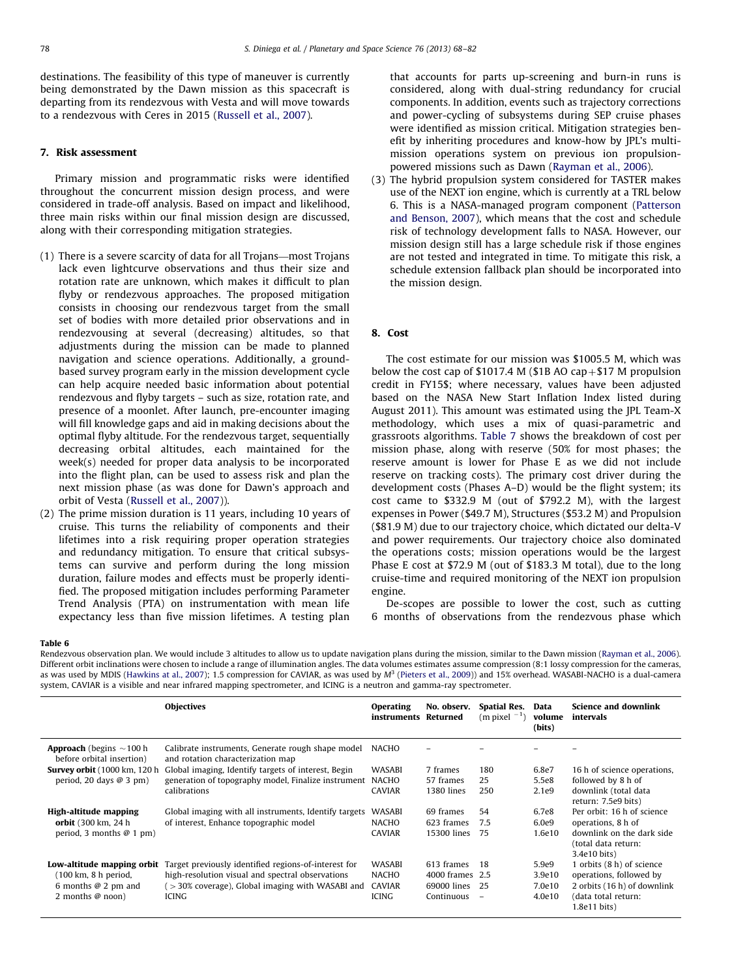<span id="page-10-0"></span>destinations. The feasibility of this type of maneuver is currently being demonstrated by the Dawn mission as this spacecraft is departing from its rendezvous with Vesta and will move towards to a rendezvous with Ceres in 2015 [\(Russell et al., 2007\)](#page-14-0).

## 7. Risk assessment

Primary mission and programmatic risks were identified throughout the concurrent mission design process, and were considered in trade-off analysis. Based on impact and likelihood, three main risks within our final mission design are discussed, along with their corresponding mitigation strategies.

- (1) There is a severe scarcity of data for all Trojans—most Trojans lack even lightcurve observations and thus their size and rotation rate are unknown, which makes it difficult to plan flyby or rendezvous approaches. The proposed mitigation consists in choosing our rendezvous target from the small set of bodies with more detailed prior observations and in rendezvousing at several (decreasing) altitudes, so that adjustments during the mission can be made to planned navigation and science operations. Additionally, a groundbased survey program early in the mission development cycle can help acquire needed basic information about potential rendezvous and flyby targets – such as size, rotation rate, and presence of a moonlet. After launch, pre-encounter imaging will fill knowledge gaps and aid in making decisions about the optimal flyby altitude. For the rendezvous target, sequentially decreasing orbital altitudes, each maintained for the week(s) needed for proper data analysis to be incorporated into the flight plan, can be used to assess risk and plan the next mission phase (as was done for Dawn's approach and orbit of Vesta ([Russell et al., 2007](#page-14-0))).
- (2) The prime mission duration is 11 years, including 10 years of cruise. This turns the reliability of components and their lifetimes into a risk requiring proper operation strategies and redundancy mitigation. To ensure that critical subsystems can survive and perform during the long mission duration, failure modes and effects must be properly identified. The proposed mitigation includes performing Parameter Trend Analysis (PTA) on instrumentation with mean life expectancy less than five mission lifetimes. A testing plan

that accounts for parts up-screening and burn-in runs is considered, along with dual-string redundancy for crucial components. In addition, events such as trajectory corrections and power-cycling of subsystems during SEP cruise phases were identified as mission critical. Mitigation strategies benefit by inheriting procedures and know-how by JPL's multimission operations system on previous ion propulsionpowered missions such as Dawn ([Rayman et al., 2006](#page-14-0)).

(3) The hybrid propulsion system considered for TASTER makes use of the NEXT ion engine, which is currently at a TRL below 6. This is a NASA-managed program component ([Patterson](#page-13-0) [and Benson, 2007\)](#page-13-0), which means that the cost and schedule risk of technology development falls to NASA. However, our mission design still has a large schedule risk if those engines are not tested and integrated in time. To mitigate this risk, a schedule extension fallback plan should be incorporated into the mission design.

## 8. Cost

The cost estimate for our mission was \$1005.5 M, which was below the cost cap of  $$1017.4$  M ( $$1B$  AO cap+ $$17$  M propulsion credit in FY15\$; where necessary, values have been adjusted based on the NASA New Start Inflation Index listed during August 2011). This amount was estimated using the JPL Team-X methodology, which uses a mix of quasi-parametric and grassroots algorithms. [Table 7](#page-11-0) shows the breakdown of cost per mission phase, along with reserve (50% for most phases; the reserve amount is lower for Phase E as we did not include reserve on tracking costs). The primary cost driver during the development costs (Phases A–D) would be the flight system; its cost came to \$332.9 M (out of \$792.2 M), with the largest expenses in Power (\$49.7 M), Structures (\$53.2 M) and Propulsion (\$81.9 M) due to our trajectory choice, which dictated our delta-V and power requirements. Our trajectory choice also dominated the operations costs; mission operations would be the largest Phase E cost at \$72.9 M (out of \$183.3 M total), due to the long cruise-time and required monitoring of the NEXT ion propulsion engine.

De-scopes are possible to lower the cost, such as cutting 6 months of observations from the rendezvous phase which

## Table 6

Rendezvous observation plan. We would include 3 altitudes to allow us to update navigation plans during the mission, similar to the Dawn mission ([Rayman et al., 2006\)](#page-14-0). Different orbit inclinations were chosen to include a range of illumination angles. The data volumes estimates assume compression (8:1 lossy compression for the cameras, as was used by MDIS ([Hawkins at al., 2007\)](#page-13-0); 1.5 compression for CAVIAR, as was used by  $M^3$  [\(Pieters et al., 2009](#page-13-0))) and 15% overhead. WASABI-NACHO is a dual-camera system, CAVIAR is a visible and near infrared mapping spectrometer, and ICING is a neutron and gamma-ray spectrometer.

|                                                                   | <b>Objectives</b>                                                                      | <b>Operating</b><br>instruments Returned | No. observ.     | <b>Spatial Res.</b><br>(m pixel $^{-1}$ ) | Data<br>volume<br>(bits) | Science and downlink<br>intervals                                |
|-------------------------------------------------------------------|----------------------------------------------------------------------------------------|------------------------------------------|-----------------|-------------------------------------------|--------------------------|------------------------------------------------------------------|
| <b>Approach</b> (begins $\sim$ 100 h<br>before orbital insertion) | Calibrate instruments, Generate rough shape model<br>and rotation characterization map | NACHO                                    |                 |                                           |                          |                                                                  |
| <b>Survey orbit</b> (1000 km, 120 h)                              | Global imaging, Identify targets of interest, Begin                                    | <b>WASABI</b>                            | 7 frames        | 180                                       | 6.8e7                    | 16 h of science operations,                                      |
| period, 20 days $@$ 3 pm)                                         | generation of topography model, Finalize instrument                                    | NACHO                                    | 57 frames       | 25                                        | 5.5e8                    | followed by 8 h of                                               |
|                                                                   | calibrations                                                                           | <b>CAVIAR</b>                            | 1380 lines      | 250                                       | 2.1e9                    | downlink (total data<br>return: 7.5e9 bits)                      |
| High-altitude mapping                                             | Global imaging with all instruments, Identify targets                                  | WASABI                                   | 69 frames       | 54                                        | 6.7e8                    | Per orbit: 16 h of science                                       |
| <b>orbit</b> (300 km, 24 h)                                       | of interest, Enhance topographic model                                                 | <b>NACHO</b>                             | 623 frames      | 7.5                                       | 6.0e9                    | operations, 8 h of                                               |
| period, 3 months $@$ 1 pm)                                        |                                                                                        | <b>CAVIAR</b>                            | 15300 lines     | -75                                       | 1.6e10                   | downlink on the dark side<br>(total data return:<br>3.4e10 bits) |
| Low-altitude mapping orbit                                        | Target previously identified regions-of-interest for                                   | <b>WASABI</b>                            | 613 frames      | 18                                        | 5.9e9                    | 1 orbits (8 h) of science                                        |
| (100 km, 8 h period,                                              | high-resolution visual and spectral observations                                       | <b>NACHO</b>                             | 4000 frames 2.5 |                                           | 3.9e10                   | operations, followed by                                          |
| 6 months $@$ 2 pm and                                             | $($ > 30% coverage), Global imaging with WASABI and                                    | CAVIAR                                   | 69000 lines     | - 25                                      | 7.0e10                   | 2 orbits (16 h) of downlink                                      |
| 2 months @ noon)                                                  | <b>ICING</b>                                                                           | <b>ICING</b>                             | Continuous      | $\sim$                                    | 4.0e10                   | (data total return:<br>1.8e11 bits)                              |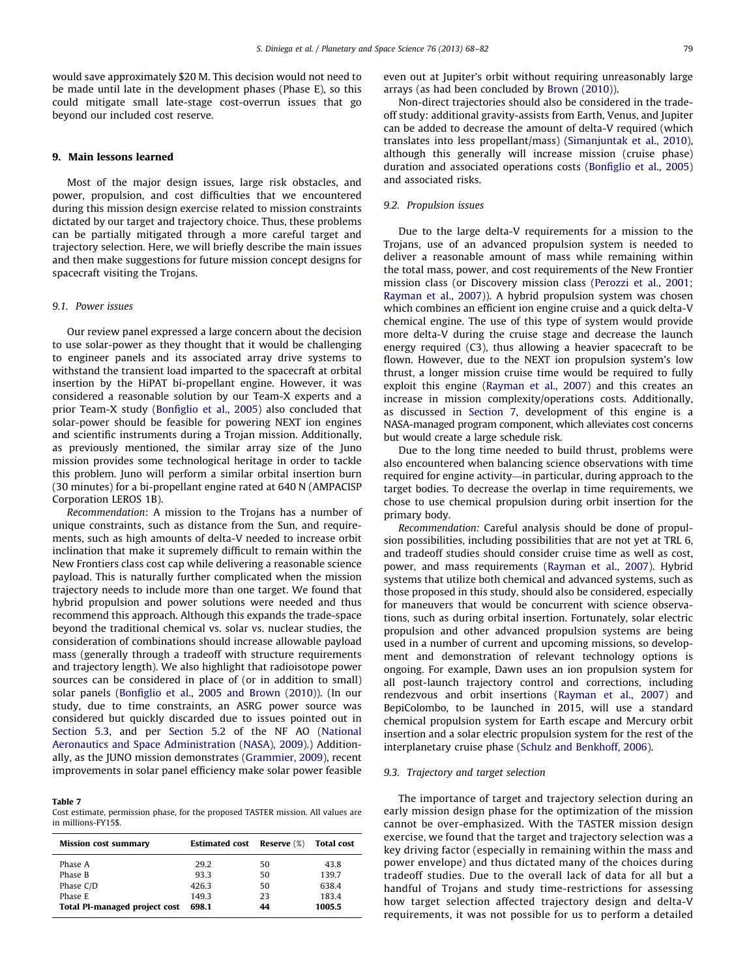<span id="page-11-0"></span>would save approximately \$20 M. This decision would not need to be made until late in the development phases (Phase E), so this could mitigate small late-stage cost-overrun issues that go beyond our included cost reserve.

## 9. Main lessons learned

Most of the major design issues, large risk obstacles, and power, propulsion, and cost difficulties that we encountered during this mission design exercise related to mission constraints dictated by our target and trajectory choice. Thus, these problems can be partially mitigated through a more careful target and trajectory selection. Here, we will briefly describe the main issues and then make suggestions for future mission concept designs for spacecraft visiting the Trojans.

## 9.1. Power issues

Our review panel expressed a large concern about the decision to use solar-power as they thought that it would be challenging to engineer panels and its associated array drive systems to withstand the transient load imparted to the spacecraft at orbital insertion by the HiPAT bi-propellant engine. However, it was considered a reasonable solution by our Team-X experts and a prior Team-X study ([Bonfiglio et al., 2005](#page-13-0)) also concluded that solar-power should be feasible for powering NEXT ion engines and scientific instruments during a Trojan mission. Additionally, as previously mentioned, the similar array size of the Juno mission provides some technological heritage in order to tackle this problem. Juno will perform a similar orbital insertion burn (30 minutes) for a bi-propellant engine rated at 640 N (AMPACISP Corporation LEROS 1B).

Recommendation: A mission to the Trojans has a number of unique constraints, such as distance from the Sun, and requirements, such as high amounts of delta-V needed to increase orbit inclination that make it supremely difficult to remain within the New Frontiers class cost cap while delivering a reasonable science payload. This is naturally further complicated when the mission trajectory needs to include more than one target. We found that hybrid propulsion and power solutions were needed and thus recommend this approach. Although this expands the trade-space beyond the traditional chemical vs. solar vs. nuclear studies, the consideration of combinations should increase allowable payload mass (generally through a tradeoff with structure requirements and trajectory length). We also highlight that radioisotope power sources can be considered in place of (or in addition to small) solar panels ([Bonfiglio et al., 2005 and Brown \(2010\)\)](#page-13-0). (In our study, due to time constraints, an ASRG power source was considered but quickly discarded due to issues pointed out in [Section 5.3,](#page-7-0) and per [Section 5.2](#page-7-0) of the NF AO [\(National](#page-13-0) [Aeronautics and Space Administration \(NASA\), 2009\)](#page-13-0).) Additionally, as the JUNO mission demonstrates [\(Grammier, 2009](#page-13-0)), recent improvements in solar panel efficiency make solar power feasible

#### Table 7

Cost estimate, permission phase, for the proposed TASTER mission. All values are in millions-FY15\$.

| <b>Mission cost summary</b>          | <b>Estimated cost</b> Reserve (%) |    | <b>Total cost</b> |
|--------------------------------------|-----------------------------------|----|-------------------|
| Phase A                              | 29.2                              | 50 | 43.8              |
| Phase B                              | 93.3                              | 50 | 139.7             |
| Phase C/D                            | 426.3                             | 50 | 638.4             |
| Phase E                              | 149.3                             | 23 | 183.4             |
| <b>Total PI-managed project cost</b> | 698.1                             | 44 | 1005.5            |

even out at Jupiter's orbit without requiring unreasonably large arrays (as had been concluded by [Brown \(2010\)](#page-13-0)).

Non-direct trajectories should also be considered in the tradeoff study: additional gravity-assists from Earth, Venus, and Jupiter can be added to decrease the amount of delta-V required (which translates into less propellant/mass) [\(Simanjuntak et al., 2010\)](#page-14-0), although this generally will increase mission (cruise phase) duration and associated operations costs [\(Bonfiglio et al., 2005\)](#page-13-0) and associated risks.

## 9.2. Propulsion issues

Due to the large delta-V requirements for a mission to the Trojans, use of an advanced propulsion system is needed to deliver a reasonable amount of mass while remaining within the total mass, power, and cost requirements of the New Frontier mission class (or Discovery mission class ([Perozzi et al., 2001;](#page-13-0) [Rayman et al., 2007](#page-14-0))). A hybrid propulsion system was chosen which combines an efficient ion engine cruise and a quick delta-V chemical engine. The use of this type of system would provide more delta-V during the cruise stage and decrease the launch energy required (C3), thus allowing a heavier spacecraft to be flown. However, due to the NEXT ion propulsion system's low thrust, a longer mission cruise time would be required to fully exploit this engine ([Rayman et al., 2007\)](#page-14-0) and this creates an increase in mission complexity/operations costs. Additionally, as discussed in [Section 7,](#page-10-0) development of this engine is a NASA-managed program component, which alleviates cost concerns but would create a large schedule risk.

Due to the long time needed to build thrust, problems were also encountered when balancing science observations with time required for engine activity—in particular, during approach to the target bodies. To decrease the overlap in time requirements, we chose to use chemical propulsion during orbit insertion for the primary body.

Recommendation: Careful analysis should be done of propulsion possibilities, including possibilities that are not yet at TRL 6, and tradeoff studies should consider cruise time as well as cost, power, and mass requirements [\(Rayman et al., 2007\)](#page-14-0). Hybrid systems that utilize both chemical and advanced systems, such as those proposed in this study, should also be considered, especially for maneuvers that would be concurrent with science observations, such as during orbital insertion. Fortunately, solar electric propulsion and other advanced propulsion systems are being used in a number of current and upcoming missions, so development and demonstration of relevant technology options is ongoing. For example, Dawn uses an ion propulsion system for all post-launch trajectory control and corrections, including rendezvous and orbit insertions [\(Rayman et al., 2007](#page-14-0)) and BepiColombo, to be launched in 2015, will use a standard chemical propulsion system for Earth escape and Mercury orbit insertion and a solar electric propulsion system for the rest of the interplanetary cruise phase ([Schulz and Benkhoff, 2006](#page-14-0)).

## 9.3. Trajectory and target selection

The importance of target and trajectory selection during an early mission design phase for the optimization of the mission cannot be over-emphasized. With the TASTER mission design exercise, we found that the target and trajectory selection was a key driving factor (especially in remaining within the mass and power envelope) and thus dictated many of the choices during tradeoff studies. Due to the overall lack of data for all but a handful of Trojans and study time-restrictions for assessing how target selection affected trajectory design and delta-V requirements, it was not possible for us to perform a detailed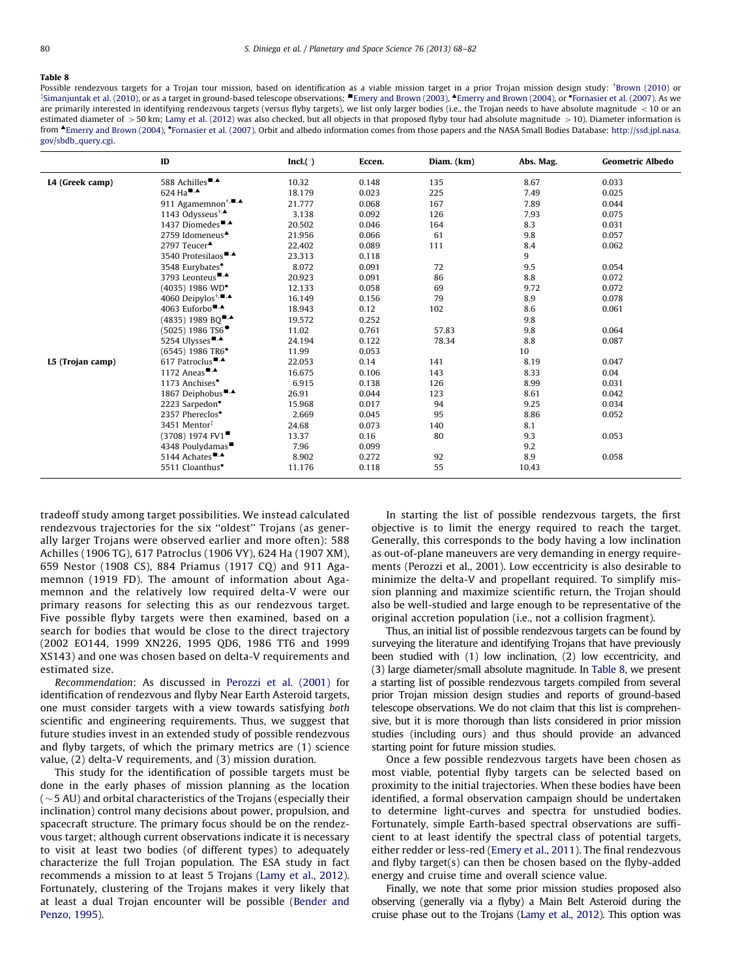Possible rendezvous targets for a Trojan tour mission, based on identification as a viable mission a prior Trojan mission design study: <sup>†</sup>[Brown \(2010\)](#page-13-0) or <sup>3</sup>[Simanjuntak et al. \(2010\)](#page-14-0), or as a target in ground-based telescope observations: **[Emery and Brown \(2003\),](#page-13-0) AEMETTY and Brown (2004), or [Fornasier et al. \(2007\)](#page-13-0). As we** are primarily interested in identifying rendezvous targets (versus flyby targets), we list only larger bodies (i.e., the Trojan needs to have absolute magnitude < 10 or an estimated diameter of  $>$  50 km; [Lamy et al. \(2012\)](#page-13-0) was also checked, but all objects in that proposed flyby tour had absolute magnitude  $>$  10). Diameter information is from **\***[Emerry and Brown \(2004\),](#page-13-0) \*[Fornasier et al. \(2007\)](#page-13-0). Orbit and albedo information comes from those papers and the NASA Small Bodies Database: [http://ssd.jpl.nasa.](http://ssd.jpl.nasa.gov/sbdb_query.cgi) [gov/sbdb\\_query.cgi.](http://ssd.jpl.nasa.gov/sbdb_query.cgi)

|                  | ID                              | Incl.( $\circ$ ) | Eccen. | Diam. (km) | Abs. Mag. | <b>Geometric Albedo</b> |
|------------------|---------------------------------|------------------|--------|------------|-----------|-------------------------|
| L4 (Greek camp)  | 588 Achilles <sup>■.▲</sup>     | 10.32            | 0.148  | 135        | 8.67      | 0.033                   |
|                  | 624 Ha $\blacksquare$ .         | 18.179           | 0.023  | 225        | 7.49      | 0.025                   |
|                  | 911 Agamemnon <sup>†,■.▲</sup>  | 21.777           | 0.068  | 167        | 7.89      | 0.044                   |
|                  | 1143 Odysseus <sup>†,▲</sup>    | 3.138            | 0.092  | 126        | 7.93      | 0.075                   |
|                  | 1437 Diomedes <sup>■.▲</sup>    | 20.502           | 0.046  | 164        | 8.3       | 0.031                   |
|                  | 2759 Idomeneus <sup>▲</sup>     | 21.956           | 0.066  | 61         | 9.8       | 0.057                   |
|                  | 2797 Teucer <sup>▲</sup>        | 22.402           | 0.089  | 111        | 8.4       | 0.062                   |
|                  | 3540 Protesilaos■.▲             | 23.313           | 0.118  |            | 9         |                         |
|                  | 3548 Eurybates <sup>•</sup>     | 8.072            | 0.091  | 72         | 9.5       | 0.054                   |
|                  | 3793 Leonteus■.▲                | 20.923           | 0.091  | 86         | 8.8       | 0.072                   |
|                  | (4035) 1986 WD <sup>®</sup>     | 12.133           | 0.058  | 69         | 9.72      | 0.072                   |
|                  | 4060 Deipylos <sup>†,■,▲</sup>  | 16.149           | 0.156  | 79         | 8.9       | 0.078                   |
|                  | 4063 Euforbo <sup>■,▲</sup>     | 18.943           | 0.12   | 102        | 8.6       | 0.061                   |
|                  | $(4835) 1989 BQ$ <sup>■,▲</sup> | 19.572           | 0.252  |            | 9.8       |                         |
|                  | $(5025)$ 1986 TS6 <sup>•</sup>  | 11.02            | 0.761  | 57.83      | 9.8       | 0.064                   |
|                  | 5254 Ulysses■.▲                 | 24.194           | 0.122  | 78.34      | 8.8       | 0.087                   |
|                  | (6545) 1986 TR6 <sup>•</sup>    | 11.99            | 0.053  |            | 10        |                         |
| L5 (Trojan camp) | 617 Patroclus■.▲                | 22.053           | 0.14   | 141        | 8.19      | 0.047                   |
|                  | 1172 Aneas <sup>■,▲</sup>       | 16.675           | 0.106  | 143        | 8.33      | 0.04                    |
|                  | 1173 Anchises <sup>•</sup>      | 6.915            | 0.138  | 126        | 8.99      | 0.031                   |
|                  | 1867 Deiphobus <sup>■,▲</sup>   | 26.91            | 0.044  | 123        | 8.61      | 0.042                   |
|                  | 2223 Sarpedon <sup>®</sup>      | 15.968           | 0.017  | 94         | 9.25      | 0.034                   |
|                  | 2357 Phereclos <sup>®</sup>     | 2.669            | 0.045  | 95         | 8.86      | 0.052                   |
|                  | 3451 Mentor <sup>‡</sup>        | 24.68            | 0.073  | 140        | 8.1       |                         |
|                  | (3708) 1974 FV1                 | 13.37            | 0.16   | 80         | 9.3       | 0.053                   |
|                  | 4348 Poulydamas                 | 7.96             | 0.099  |            | 9.2       |                         |
|                  | 5144 Achates <sup>■,▲</sup>     | 8.902            | 0.272  | 92         | 8.9       | 0.058                   |
|                  | 5511 Cloanthus <sup>®</sup>     | 11.176           | 0.118  | 55         | 10.43     |                         |

tradeoff study among target possibilities. We instead calculated rendezvous trajectories for the six ''oldest'' Trojans (as generally larger Trojans were observed earlier and more often): 588 Achilles (1906 TG), 617 Patroclus (1906 VY), 624 Ha (1907 XM), 659 Nestor (1908 CS), 884 Priamus (1917 CQ) and 911 Agamemnon (1919 FD). The amount of information about Agamemnon and the relatively low required delta-V were our primary reasons for selecting this as our rendezvous target. Five possible flyby targets were then examined, based on a search for bodies that would be close to the direct trajectory (2002 EO144, 1999 XN226, 1995 QD6, 1986 TT6 and 1999 XS143) and one was chosen based on delta-V requirements and estimated size.

Recommendation: As discussed in [Perozzi et al. \(2001\)](#page-13-0) for identification of rendezvous and flyby Near Earth Asteroid targets, one must consider targets with a view towards satisfying both scientific and engineering requirements. Thus, we suggest that future studies invest in an extended study of possible rendezvous and flyby targets, of which the primary metrics are (1) science value, (2) delta-V requirements, and (3) mission duration.

This study for the identification of possible targets must be done in the early phases of mission planning as the location (  $\sim$  5 AU) and orbital characteristics of the Trojans (especially their inclination) control many decisions about power, propulsion, and spacecraft structure. The primary focus should be on the rendezvous target; although current observations indicate it is necessary to visit at least two bodies (of different types) to adequately characterize the full Trojan population. The ESA study in fact recommends a mission to at least 5 Trojans [\(Lamy et al., 2012\)](#page-13-0). Fortunately, clustering of the Trojans makes it very likely that at least a dual Trojan encounter will be possible [\(Bender and](#page-13-0) [Penzo, 1995](#page-13-0)).

In starting the list of possible rendezvous targets, the first objective is to limit the energy required to reach the target. Generally, this corresponds to the body having a low inclination as out-of-plane maneuvers are very demanding in energy requirements (Perozzi et al., 2001). Low eccentricity is also desirable to minimize the delta-V and propellant required. To simplify mission planning and maximize scientific return, the Trojan should also be well-studied and large enough to be representative of the original accretion population (i.e., not a collision fragment).

Thus, an initial list of possible rendezvous targets can be found by surveying the literature and identifying Trojans that have previously been studied with (1) low inclination, (2) low eccentricity, and (3) large diameter/small absolute magnitude. In Table 8, we present a starting list of possible rendezvous targets compiled from several prior Trojan mission design studies and reports of ground-based telescope observations. We do not claim that this list is comprehensive, but it is more thorough than lists considered in prior mission studies (including ours) and thus should provide an advanced starting point for future mission studies.

Once a few possible rendezvous targets have been chosen as most viable, potential flyby targets can be selected based on proximity to the initial trajectories. When these bodies have been identified, a formal observation campaign should be undertaken to determine light-curves and spectra for unstudied bodies. Fortunately, simple Earth-based spectral observations are sufficient to at least identify the spectral class of potential targets, either redder or less-red ([Emery et al., 2011\)](#page-13-0). The final rendezvous and flyby target(s) can then be chosen based on the flyby-added energy and cruise time and overall science value.

Finally, we note that some prior mission studies proposed also observing (generally via a flyby) a Main Belt Asteroid during the cruise phase out to the Trojans ([Lamy et al., 2012](#page-13-0)). This option was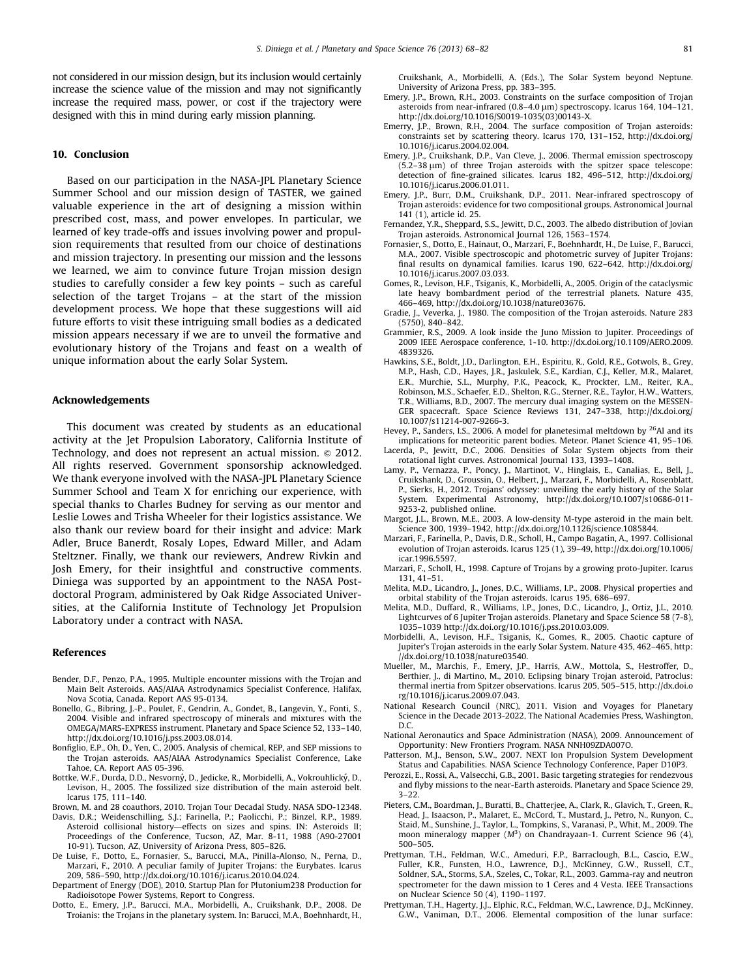<span id="page-13-0"></span>not considered in our mission design, but its inclusion would certainly increase the science value of the mission and may not significantly increase the required mass, power, or cost if the trajectory were designed with this in mind during early mission planning.

## 10. Conclusion

Based on our participation in the NASA-JPL Planetary Science Summer School and our mission design of TASTER, we gained valuable experience in the art of designing a mission within prescribed cost, mass, and power envelopes. In particular, we learned of key trade-offs and issues involving power and propulsion requirements that resulted from our choice of destinations and mission trajectory. In presenting our mission and the lessons we learned, we aim to convince future Trojan mission design studies to carefully consider a few key points – such as careful selection of the target Trojans – at the start of the mission development process. We hope that these suggestions will aid future efforts to visit these intriguing small bodies as a dedicated mission appears necessary if we are to unveil the formative and evolutionary history of the Trojans and feast on a wealth of unique information about the early Solar System.

## Acknowledgements

This document was created by students as an educational activity at the Jet Propulsion Laboratory, California Institute of Technology, and does not represent an actual mission.  $\odot$  2012. All rights reserved. Government sponsorship acknowledged. We thank everyone involved with the NASA-JPL Planetary Science Summer School and Team X for enriching our experience, with special thanks to Charles Budney for serving as our mentor and Leslie Lowes and Trisha Wheeler for their logistics assistance. We also thank our review board for their insight and advice: Mark Adler, Bruce Banerdt, Rosaly Lopes, Edward Miller, and Adam Steltzner. Finally, we thank our reviewers, Andrew Rivkin and Josh Emery, for their insightful and constructive comments. Diniega was supported by an appointment to the NASA Postdoctoral Program, administered by Oak Ridge Associated Universities, at the California Institute of Technology Jet Propulsion Laboratory under a contract with NASA.

#### References

- Bender, D.F., Penzo, P.A., 1995. Multiple encounter missions with the Trojan and Main Belt Asteroids. AAS/AIAA Astrodynamics Specialist Conference, Halifax, Nova Scotia, Canada. Report AAS 95-0134.
- Bonello, G., Bibring, J.-P., Poulet, F., Gendrin, A., Gondet, B., Langevin, Y., Fonti, S., 2004. Visible and infrared spectroscopy of minerals and mixtures with the OMEGA/MARS-EXPRESS instrument. Planetary and Space Science 52, 133–140, <http://dx.doi.org/10.1016/j.pss.2003.08.014>.
- Bonfiglio, E.P., Oh, D., Yen, C., 2005. Analysis of chemical, REP, and SEP missions to the Trojan asteroids. AAS/AIAA Astrodynamics Specialist Conference, Lake Tahoe, CA. Report AAS 05-396.
- Bottke, W.F., Durda, D.D., Nesvorný, D., Jedicke, R., Morbidelli, A., Vokrouhlický, D., Levison, H., 2005. The fossilized size distribution of the main asteroid belt. Icarus 175, 111–140.
- Brown, M. and 28 coauthors, 2010. Trojan Tour Decadal Study. NASA SDO-12348.
- Davis, D.R.; Weidenschilling, S.J.; Farinella, P.; Paolicchi, P.; Binzel, R.P., 1989. Asteroid collisional history—effects on sizes and spins. IN: Asteroids II; Proceedings of the Conference, Tucson, AZ, Mar. 8-11, 1988 (A90-27001 10-91). Tucson, AZ, University of Arizona Press, 805–826.
- De Luise, F., Dotto, E., Fornasier, S., Barucci, M.A., Pinilla-Alonso, N., Perna, D., Marzari, F., 2010. A peculiar family of Jupiter Trojans: the Eurybates. Icarus 209, 586–590, [http://dx.doi.org/10.1016/j.icarus.2010.04.024.](http://dx.doi.org/10.1016/j.icarus.2010.04.024)
- Department of Energy (DOE), 2010. Startup Plan for Plutonium238 Production for Radioisotope Power Systems, Report to Congress.
- Dotto, E., Emery, J.P., Barucci, M.A., Morbidelli, A., Cruikshank, D.P., 2008. De Troianis: the Trojans in the planetary system. In: Barucci, M.A., Boehnhardt, H.,

Cruikshank, A., Morbidelli, A. (Eds.), The Solar System beyond Neptune. University of Arizona Press, pp. 383–395.

- Emery, J.P., Brown, R.H., 2003. Constraints on the surface composition of Trojan asteroids from near-infrared (0.8-4.0 µm) spectroscopy. Icarus 164, 104-121, [http://dx.doi.org/10.1016/S0019-1035\(03\)00143-X.](http://dx.doi.org/10.1016/S0019-1035(03)00143-X)
- Emerry, J.P., Brown, R.H., 2004. The surface composition of Trojan asteroids: constraints set by scattering theory. Icarus 170, 131–152, [http://dx.doi.org/](http://dx.doi.org/10.1016/j.icarus.2004.02.004) [10.1016/j.icarus.2004.02.004.](http://dx.doi.org/10.1016/j.icarus.2004.02.004)
- Emery, J.P., Cruikshank, D.P., Van Cleve, J., 2006. Thermal emission spectroscopy  $(5.2-38 \mu m)$  of three Trojan asteroids with the spitzer space telescope: detection of fine-grained silicates. Icarus 182, 496–512, [http://dx.doi.org/](http://dx.doi.org/10.1016/j.icarus.2006.01.011) [10.1016/j.icarus.2006.01.011.](http://dx.doi.org/10.1016/j.icarus.2006.01.011)
- Emery, J.P., Burr, D.M., Cruikshank, D.P., 2011. Near-infrared spectroscopy of Trojan asteroids: evidence for two compositional groups. Astronomical Journal 141 (1), article id. 25.
- Fernandez, Y.R., Sheppard, S.S., Jewitt, D.C., 2003. The albedo distribution of Jovian Trojan asteroids. Astronomical Journal 126, 1563–1574.
- Fornasier, S., Dotto, E., Hainaut, O., Marzari, F., Boehnhardt, H., De Luise, F., Barucci, M.A., 2007. Visible spectroscopic and photometric survey of Jupiter Trojans: final results on dynamical families. Icarus 190, 622–642, [http://dx.doi.org/](http://dx.doi.org/10.1016/j.icarus.2007.03.033) [10.1016/j.icarus.2007.03.033.](http://dx.doi.org/10.1016/j.icarus.2007.03.033)
- Gomes, R., Levison, H.F., Tsiganis, K., Morbidelli, A., 2005. Origin of the cataclysmic late heavy bombardment period of the terrestrial planets. Nature 435, 466–469,<http://dx.doi.org/10.1038/nature03676>.
- Gradie, J., Veverka, J., 1980. The composition of the Trojan asteroids. Nature 283 (5750), 840–842.
- Grammier, R.S., 2009. A look inside the Juno Mission to Jupiter. Proceedings of 2009 IEEE Aerospace conference, 1-10. [http://dx.doi.org/10.1109/AERO.2009.](http://dx.doi.org/10.1109/AERO.2009.4839326) [4839326.](http://dx.doi.org/10.1109/AERO.2009.4839326)
- Hawkins, S.E., Boldt, J.D., Darlington, E.H., Espiritu, R., Gold, R.E., Gotwols, B., Grey, M.P., Hash, C.D., Hayes, J.R., Jaskulek, S.E., Kardian, C.J., Keller, M.R., Malaret, E.R., Murchie, S.L., Murphy, P.K., Peacock, K., Prockter, L.M., Reiter, R.A., Robinson, M.S., Schaefer, E.D., Shelton, R.G., Sterner, R.E., Taylor, H.W., Watters, T.R., Williams, B.D., 2007. The mercury dual imaging system on the MESSEN-GER spacecraft. Space Science Reviews 131, 247–338, [http://dx.doi.org/](http://dx.doi.org/10.1007/s11214-007-9266-3) [10.1007/s11214-007-9266-3.](http://dx.doi.org/10.1007/s11214-007-9266-3)
- Hevey, P., Sanders, I.S., 2006. A model for planetesimal meltdown by <sup>26</sup>Al and its implications for meteoritic parent bodies. Meteor. Planet Science 41, 95–106.
- Lacerda, P., Jewitt, D.C., 2006. Densities of Solar System objects from their rotational light curves. Astronomical Journal 133, 1393–1408.
- Lamy, P., Vernazza, P., Poncy, J., Martinot, V., Hinglais, E., Canalias, E., Bell, J., Cruikshank, D., Groussin, O., Helbert, J., Marzari, F., Morbidelli, A., Rosenblatt, P., Sierks, H., 2012. Trojans' odyssey: unveiling the early history of the Solar System. Experimental Astronomy, [http://dx.doi.org/10.1007/s10686-011-](http://dx.doi.org/10.1007/s10686-011-9253-2) [9253-2](http://dx.doi.org/10.1007/s10686-011-9253-2), published online.
- Margot, J.L., Brown, M.E., 2003. A low-density M-type asteroid in the main belt. Science 300, 1939–1942, [http://dx.doi.org/10.1126/science.1085844.](http://dx.doi.org/10.1126/science.1085844)
- Marzari, F., Farinella, P., Davis, D.R., Scholl, H., Campo Bagatin, A., 1997. Collisional evolution of Trojan asteroids. Icarus 125 (1), 39–49, [http://dx.doi.org/10.1006/](http://dx.doi.org/10.1006/icar.1996.5597) [icar.1996.5597.](http://dx.doi.org/10.1006/icar.1996.5597)
- Marzari, F., Scholl, H., 1998. Capture of Trojans by a growing proto-Jupiter. Icarus 131, 41–51.
- Melita, M.D., Licandro, J., Jones, D.C., Williams, I.P., 2008. Physical properties and orbital stability of the Trojan asteroids. Icarus 195, 686–697.
- Melita, M.D., Duffard, R., Williams, I.P., Jones, D.C., Licandro, J., Ortiz, J.L., 2010. Lightcurves of 6 Jupiter Trojan asteroids. Planetary and Space Science 58 (7-8), 1035–1039 [http://dx.doi.org/10.1016/j.pss.2010.03.009.](http://dx.doi.org/10.1016/j.pss.2010.03.009)
- Morbidelli, A., Levison, H.F., Tsiganis, K., Gomes, R., 2005. Chaotic capture of Jupiter's Trojan asteroids in the early Solar System. Nature 435, 462–465, [http:](http://dx.doi.org/10.1038/nature03540) [//dx.doi.org/10.1038/nature03540](http://dx.doi.org/10.1038/nature03540).
- Mueller, M., Marchis, F., Emery, J.P., Harris, A.W., Mottola, S., Hestroffer, D., Berthier, J., di Martino, M., 2010. Eclipsing binary Trojan asteroid, Patroclus: thermal inertia from Spitzer observations. Icarus 205, 505–515, [http://dx.doi.o](http://dx.doi.org/10.1016/j.icarus.2009.07.043) [rg/10.1016/j.icarus.2009.07.043](http://dx.doi.org/10.1016/j.icarus.2009.07.043).
- National Research Council (NRC), 2011. Vision and Voyages for Planetary Science in the Decade 2013-2022, The National Academies Press, Washington,  $D C$
- National Aeronautics and Space Administration (NASA), 2009. Announcement of Opportunity: New Frontiers Program. NASA NNH09ZDA007O.
- Patterson, M.J., Benson, S.W., 2007. NEXT Ion Propulsion System Development Status and Capabilities. NASA Science Technology Conference, Paper D10P3.
- Perozzi, E., Rossi, A., Valsecchi, G.B., 2001. Basic targeting strategies for rendezvous and flyby missions to the near-Earth asteroids. Planetary and Space Science 29, 3–22.
- Pieters, C.M., Boardman, J., Buratti, B., Chatterjee, A., Clark, R., Glavich, T., Green, R., Head, J., Isaacson, P., Malaret, E., McCord, T., Mustard, J., Petro, N., Runyon, C., Staid, M., Sunshine, J., Taylor, L., Tompkins, S., Varanasi, P., Whit, M., 2009. The moon mineralogy mapper  $(M^3)$  on Chandrayaan-1. Current Science 96 (4) 500–505.
- Prettyman, T.H., Feldman, W.C., Ameduri, F.P., Barraclough, B.L., Cascio, E.W., Fuller, K.R., Funsten, H.O., Lawrence, D.J., McKinney, G.W., Russell, C.T., Soldner, S.A., Storms, S.A., Szeles, C., Tokar, R.L., 2003. Gamma-ray and neutron spectrometer for the dawn mission to 1 Ceres and 4 Vesta. IEEE Transactions on Nuclear Science 50 (4), 1190–1197.
- Prettyman, T.H., Hagerty, J.J., Elphic, R.C., Feldman, W.C., Lawrence, D.J., McKinney, G.W., Vaniman, D.T., 2006. Elemental composition of the lunar surface: